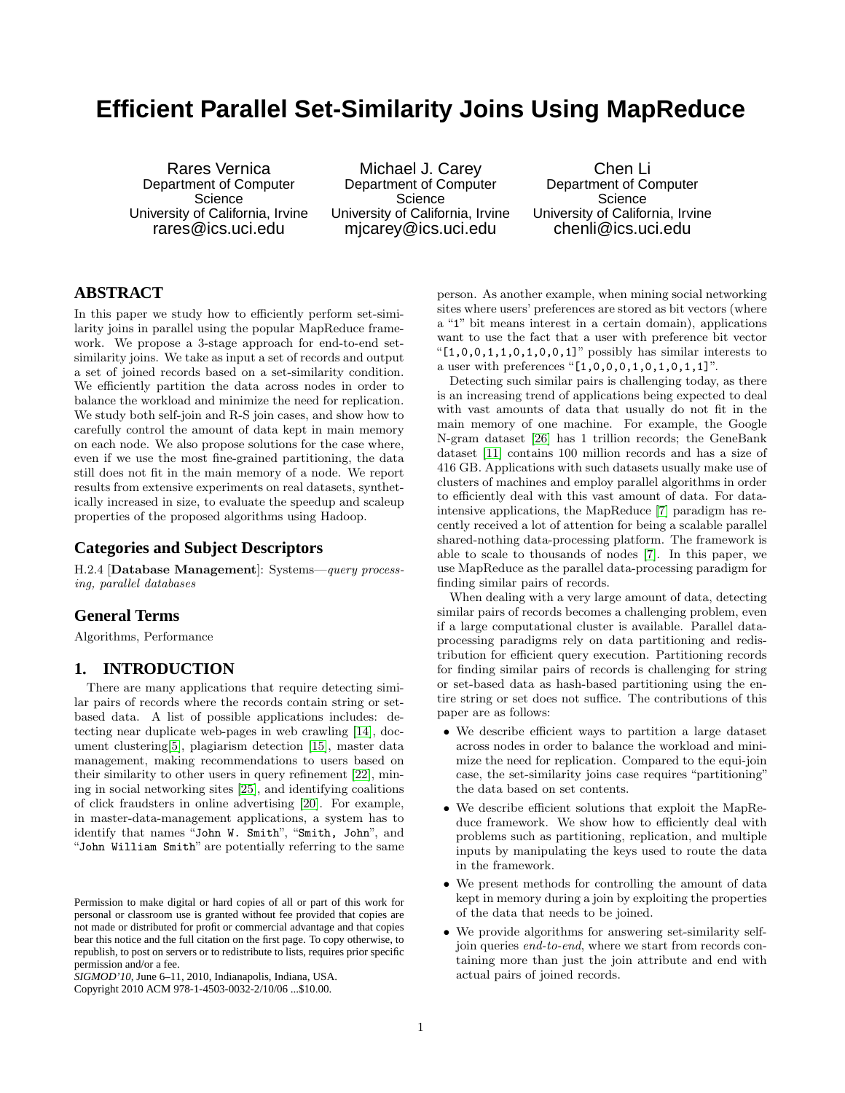# **Efficient Parallel Set-Similarity Joins Using MapReduce**

Rares Vernica Department of Computer Science University of California, Irvine rares@ics.uci.edu

Michael J. Carey Department of Computer Science University of California, Irvine mjcarey@ics.uci.edu

Chen Li Department of Computer **Science** University of California, Irvine chenli@ics.uci.edu

# **ABSTRACT**

In this paper we study how to efficiently perform set-similarity joins in parallel using the popular MapReduce framework. We propose a 3-stage approach for end-to-end setsimilarity joins. We take as input a set of records and output a set of joined records based on a set-similarity condition. We efficiently partition the data across nodes in order to balance the workload and minimize the need for replication. We study both self-join and R-S join cases, and show how to carefully control the amount of data kept in main memory on each node. We also propose solutions for the case where, even if we use the most fine-grained partitioning, the data still does not fit in the main memory of a node. We report results from extensive experiments on real datasets, synthetically increased in size, to evaluate the speedup and scaleup properties of the proposed algorithms using Hadoop.

# **Categories and Subject Descriptors**

H.2.4 [Database Management]: Systems—query processing, parallel databases

## **General Terms**

Algorithms, Performance

# **1. INTRODUCTION**

There are many applications that require detecting similar pairs of records where the records contain string or setbased data. A list of possible applications includes: detecting near duplicate web-pages in web crawling [\[14\]](#page-11-0), document clustering[\[5\]](#page-11-1), plagiarism detection [\[15\]](#page-11-2), master data management, making recommendations to users based on their similarity to other users in query refinement [\[22\]](#page-11-3), mining in social networking sites [\[25\]](#page-11-4), and identifying coalitions of click fraudsters in online advertising [\[20\]](#page-11-5). For example, in master-data-management applications, a system has to identify that names "John W. Smith", "Smith, John", and "John William Smith" are potentially referring to the same

Copyright 2010 ACM 978-1-4503-0032-2/10/06 ...\$10.00.

person. As another example, when mining social networking sites where users' preferences are stored as bit vectors (where a "1" bit means interest in a certain domain), applications want to use the fact that a user with preference bit vector " $[1,0,0,1,1,0,1,0,0,1]$ " possibly has similar interests to a user with preferences "[1,0,0,0,1,0,1,0,1,1]".

Detecting such similar pairs is challenging today, as there is an increasing trend of applications being expected to deal with vast amounts of data that usually do not fit in the main memory of one machine. For example, the Google N-gram dataset [\[26\]](#page-11-6) has 1 trillion records; the GeneBank dataset [\[11\]](#page-11-7) contains 100 million records and has a size of 416 GB. Applications with such datasets usually make use of clusters of machines and employ parallel algorithms in order to efficiently deal with this vast amount of data. For dataintensive applications, the MapReduce [\[7\]](#page-11-8) paradigm has recently received a lot of attention for being a scalable parallel shared-nothing data-processing platform. The framework is able to scale to thousands of nodes [\[7\]](#page-11-8). In this paper, we use MapReduce as the parallel data-processing paradigm for finding similar pairs of records.

When dealing with a very large amount of data, detecting similar pairs of records becomes a challenging problem, even if a large computational cluster is available. Parallel dataprocessing paradigms rely on data partitioning and redistribution for efficient query execution. Partitioning records for finding similar pairs of records is challenging for string or set-based data as hash-based partitioning using the entire string or set does not suffice. The contributions of this paper are as follows:

- We describe efficient ways to partition a large dataset across nodes in order to balance the workload and minimize the need for replication. Compared to the equi-join case, the set-similarity joins case requires "partitioning" the data based on set contents.
- We describe efficient solutions that exploit the MapReduce framework. We show how to efficiently deal with problems such as partitioning, replication, and multiple inputs by manipulating the keys used to route the data in the framework.
- We present methods for controlling the amount of data kept in memory during a join by exploiting the properties of the data that needs to be joined.
- We provide algorithms for answering set-similarity selfjoin queries end-to-end, where we start from records containing more than just the join attribute and end with actual pairs of joined records.

Permission to make digital or hard copies of all or part of this work for personal or classroom use is granted without fee provided that copies are not made or distributed for profit or commercial advantage and that copies bear this notice and the full citation on the first page. To copy otherwise, to republish, to post on servers or to redistribute to lists, requires prior specific permission and/or a fee.

*SIGMOD'10,* June 6–11, 2010, Indianapolis, Indiana, USA.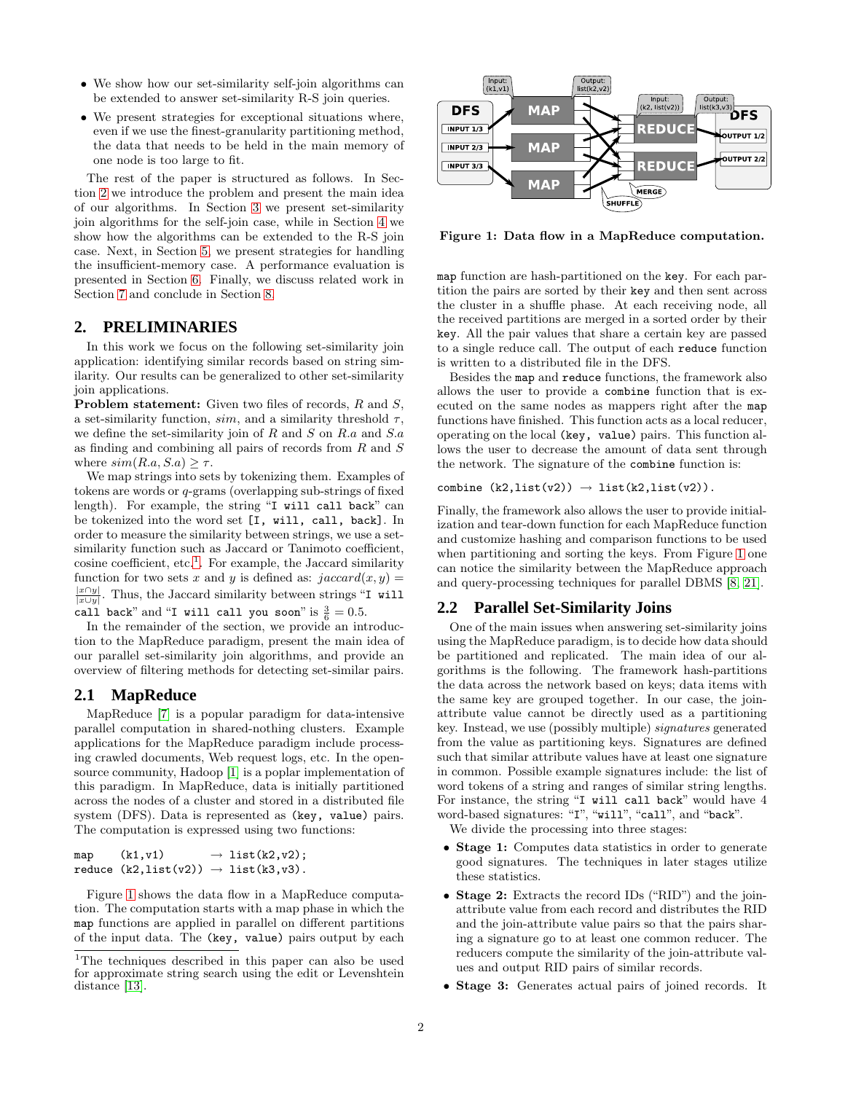- We show how our set-similarity self-join algorithms can be extended to answer set-similarity R-S join queries.
- We present strategies for exceptional situations where, even if we use the finest-granularity partitioning method, the data that needs to be held in the main memory of one node is too large to fit.

The rest of the paper is structured as follows. In Section [2](#page-1-0) we introduce the problem and present the main idea of our algorithms. In Section [3](#page-2-0) we present set-similarity join algorithms for the self-join case, while in Section [4](#page-4-0) we show how the algorithms can be extended to the R-S join case. Next, in Section [5,](#page-6-0) we present strategies for handling the insufficient-memory case. A performance evaluation is presented in Section [6.](#page-6-1) Finally, we discuss related work in Section [7](#page-10-0) and conclude in Section [8.](#page-11-9)

## <span id="page-1-0"></span>**2. PRELIMINARIES**

In this work we focus on the following set-similarity join application: identifying similar records based on string similarity. Our results can be generalized to other set-similarity join applications.

Problem statement: Given two files of records, R and S, a set-similarity function, sim, and a similarity threshold  $\tau$ , we define the set-similarity join of  $R$  and  $S$  on  $R.a$  and  $S.a$ as finding and combining all pairs of records from R and S where  $sim(R.a, S.a) \geq \tau$ .

We map strings into sets by tokenizing them. Examples of tokens are words or  $q$ -grams (overlapping sub-strings of fixed length). For example, the string "I will call back" can be tokenized into the word set [I, will, call, back]. In order to measure the similarity between strings, we use a setsimilarity function such as Jaccard or Tanimoto coefficient, cosine coefficient, etc.<sup>[1](#page-1-1)</sup>. For example, the Jaccard similarity function for two sets x and y is defined as:  $jaccard(x, y) =$  $\frac{|x \cap y|}{|x \cup y|}$ . Thus, the Jaccard similarity between strings "I will call back" and "I will call you soon" is  $\frac{3}{6} = 0.5$ .

In the remainder of the section, we provide an introduction to the MapReduce paradigm, present the main idea of our parallel set-similarity join algorithms, and provide an overview of filtering methods for detecting set-similar pairs.

## **2.1 MapReduce**

MapReduce [\[7\]](#page-11-8) is a popular paradigm for data-intensive parallel computation in shared-nothing clusters. Example applications for the MapReduce paradigm include processing crawled documents, Web request logs, etc. In the opensource community, Hadoop [\[1\]](#page-11-10) is a poplar implementation of this paradigm. In MapReduce, data is initially partitioned across the nodes of a cluster and stored in a distributed file system (DFS). Data is represented as (key, value) pairs. The computation is expressed using two functions:

| map | (k1, v1)                                           | $\rightarrow$ list(k2,v2); |
|-----|----------------------------------------------------|----------------------------|
|     | reduce $(k2, list(v2)) \rightarrow list(k3, v3)$ . |                            |

Figure [1](#page-1-2) shows the data flow in a MapReduce computation. The computation starts with a map phase in which the map functions are applied in parallel on different partitions of the input data. The (key, value) pairs output by each



<span id="page-1-2"></span>Figure 1: Data flow in a MapReduce computation.

map function are hash-partitioned on the key. For each partition the pairs are sorted by their key and then sent across the cluster in a shuffle phase. At each receiving node, all the received partitions are merged in a sorted order by their key. All the pair values that share a certain key are passed to a single reduce call. The output of each reduce function is written to a distributed file in the DFS.

Besides the map and reduce functions, the framework also allows the user to provide a combine function that is executed on the same nodes as mappers right after the map functions have finished. This function acts as a local reducer, operating on the local (key, value) pairs. This function allows the user to decrease the amount of data sent through the network. The signature of the combine function is:

combine  $(k2, list(v2)) \rightarrow list(k2, list(v2))$ .

Finally, the framework also allows the user to provide initialization and tear-down function for each MapReduce function and customize hashing and comparison functions to be used when partitioning and sorting the keys. From Figure [1](#page-1-2) one can notice the similarity between the MapReduce approach and query-processing techniques for parallel DBMS [\[8,](#page-11-12) [21\]](#page-11-13).

## **2.2 Parallel Set-Similarity Joins**

One of the main issues when answering set-similarity joins using the MapReduce paradigm, is to decide how data should be partitioned and replicated. The main idea of our algorithms is the following. The framework hash-partitions the data across the network based on keys; data items with the same key are grouped together. In our case, the joinattribute value cannot be directly used as a partitioning key. Instead, we use (possibly multiple) signatures generated from the value as partitioning keys. Signatures are defined such that similar attribute values have at least one signature in common. Possible example signatures include: the list of word tokens of a string and ranges of similar string lengths. For instance, the string "I will call back" would have 4 word-based signatures: "I", "will", "call", and "back".

We divide the processing into three stages:

- Stage 1: Computes data statistics in order to generate good signatures. The techniques in later stages utilize these statistics.
- Stage 2: Extracts the record IDs ("RID") and the joinattribute value from each record and distributes the RID and the join-attribute value pairs so that the pairs sharing a signature go to at least one common reducer. The reducers compute the similarity of the join-attribute values and output RID pairs of similar records.
- Stage 3: Generates actual pairs of joined records. It

<span id="page-1-1"></span><sup>&</sup>lt;sup>1</sup>The techniques described in this paper can also be used for approximate string search using the edit or Levenshtein distance [\[13\]](#page-11-11).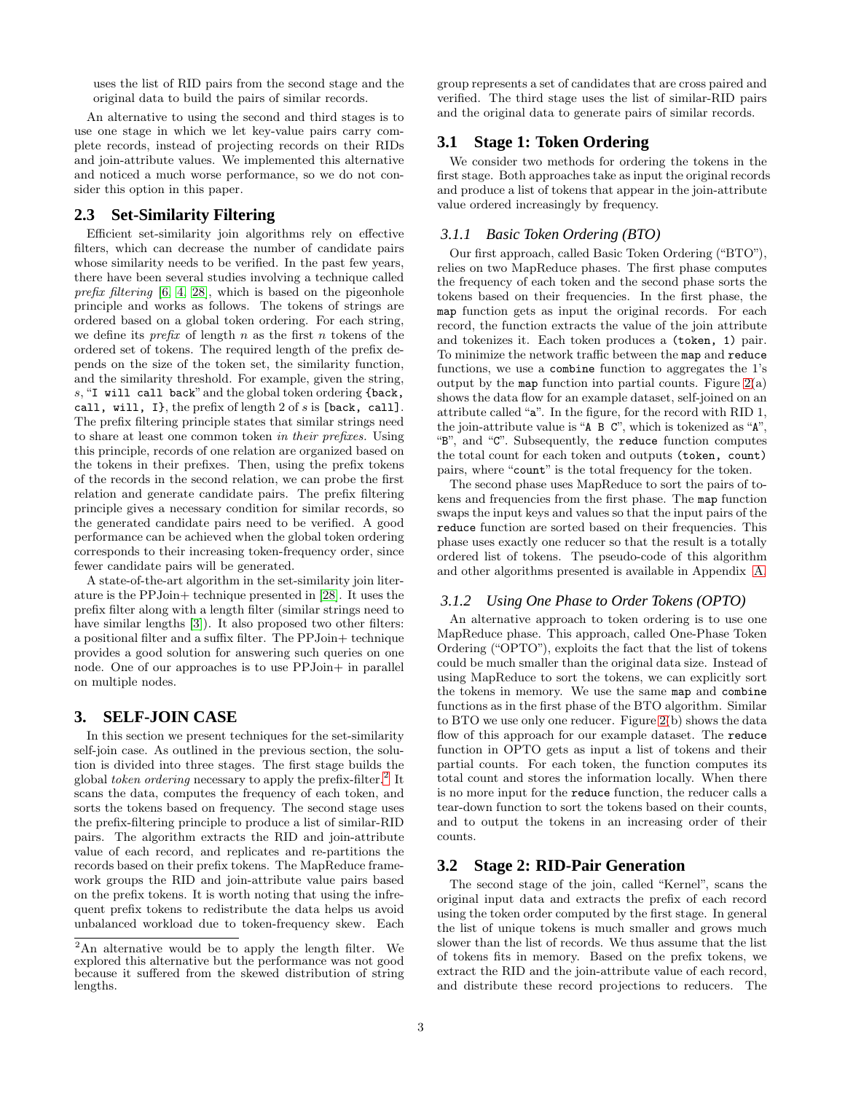uses the list of RID pairs from the second stage and the original data to build the pairs of similar records.

An alternative to using the second and third stages is to use one stage in which we let key-value pairs carry complete records, instead of projecting records on their RIDs and join-attribute values. We implemented this alternative and noticed a much worse performance, so we do not consider this option in this paper.

# **2.3 Set-Similarity Filtering**

Efficient set-similarity join algorithms rely on effective filters, which can decrease the number of candidate pairs whose similarity needs to be verified. In the past few years, there have been several studies involving a technique called prefix filtering [\[6,](#page-11-14) [4,](#page-11-15) [28\]](#page-11-16), which is based on the pigeonhole principle and works as follows. The tokens of strings are ordered based on a global token ordering. For each string, we define its *prefix* of length n as the first n tokens of the ordered set of tokens. The required length of the prefix depends on the size of the token set, the similarity function, and the similarity threshold. For example, given the string, s, "I will call back" and the global token ordering {back, call, will, I}, the prefix of length  $2$  of  $s$  is [back, call]. The prefix filtering principle states that similar strings need to share at least one common token in their prefixes. Using this principle, records of one relation are organized based on the tokens in their prefixes. Then, using the prefix tokens of the records in the second relation, we can probe the first relation and generate candidate pairs. The prefix filtering principle gives a necessary condition for similar records, so the generated candidate pairs need to be verified. A good performance can be achieved when the global token ordering corresponds to their increasing token-frequency order, since fewer candidate pairs will be generated.

A state-of-the-art algorithm in the set-similarity join literature is the PPJoin+ technique presented in [\[28\]](#page-11-16). It uses the prefix filter along with a length filter (similar strings need to have similar lengths [\[3\]](#page-11-17)). It also proposed two other filters: a positional filter and a suffix filter. The PPJoin+ technique provides a good solution for answering such queries on one node. One of our approaches is to use PPJoin+ in parallel on multiple nodes.

## <span id="page-2-0"></span>**3. SELF-JOIN CASE**

In this section we present techniques for the set-similarity self-join case. As outlined in the previous section, the solution is divided into three stages. The first stage builds the global token ordering necessary to apply the prefix-filter.<sup>[2](#page-2-1)</sup> It scans the data, computes the frequency of each token, and sorts the tokens based on frequency. The second stage uses the prefix-filtering principle to produce a list of similar-RID pairs. The algorithm extracts the RID and join-attribute value of each record, and replicates and re-partitions the records based on their prefix tokens. The MapReduce framework groups the RID and join-attribute value pairs based on the prefix tokens. It is worth noting that using the infrequent prefix tokens to redistribute the data helps us avoid unbalanced workload due to token-frequency skew. Each group represents a set of candidates that are cross paired and verified. The third stage uses the list of similar-RID pairs and the original data to generate pairs of similar records.

# **3.1 Stage 1: Token Ordering**

We consider two methods for ordering the tokens in the first stage. Both approaches take as input the original records and produce a list of tokens that appear in the join-attribute value ordered increasingly by frequency.

## *3.1.1 Basic Token Ordering (BTO)*

Our first approach, called Basic Token Ordering ("BTO"), relies on two MapReduce phases. The first phase computes the frequency of each token and the second phase sorts the tokens based on their frequencies. In the first phase, the map function gets as input the original records. For each record, the function extracts the value of the join attribute and tokenizes it. Each token produces a (token, 1) pair. To minimize the network traffic between the map and reduce functions, we use a combine function to aggregates the 1's output by the map function into partial counts. Figure  $2(a)$ shows the data flow for an example dataset, self-joined on an attribute called "a". In the figure, for the record with RID 1, the join-attribute value is "A B C", which is tokenized as "A", "B", and "C". Subsequently, the reduce function computes the total count for each token and outputs (token, count) pairs, where "count" is the total frequency for the token.

The second phase uses MapReduce to sort the pairs of tokens and frequencies from the first phase. The map function swaps the input keys and values so that the input pairs of the reduce function are sorted based on their frequencies. This phase uses exactly one reducer so that the result is a totally ordered list of tokens. The pseudo-code of this algorithm and other algorithms presented is available in Appendix [A.](#page-12-0)

#### *3.1.2 Using One Phase to Order Tokens (OPTO)*

<span id="page-2-3"></span>An alternative approach to token ordering is to use one MapReduce phase. This approach, called One-Phase Token Ordering ("OPTO"), exploits the fact that the list of tokens could be much smaller than the original data size. Instead of using MapReduce to sort the tokens, we can explicitly sort the tokens in memory. We use the same map and combine functions as in the first phase of the BTO algorithm. Similar to BTO we use only one reducer. Figure [2\(](#page-3-0)b) shows the data flow of this approach for our example dataset. The reduce function in OPTO gets as input a list of tokens and their partial counts. For each token, the function computes its total count and stores the information locally. When there is no more input for the reduce function, the reducer calls a tear-down function to sort the tokens based on their counts, and to output the tokens in an increasing order of their counts.

## <span id="page-2-2"></span>**3.2 Stage 2: RID-Pair Generation**

The second stage of the join, called "Kernel", scans the original input data and extracts the prefix of each record using the token order computed by the first stage. In general the list of unique tokens is much smaller and grows much slower than the list of records. We thus assume that the list of tokens fits in memory. Based on the prefix tokens, we extract the RID and the join-attribute value of each record, and distribute these record projections to reducers. The

<span id="page-2-1"></span><sup>2</sup>An alternative would be to apply the length filter. We explored this alternative but the performance was not good because it suffered from the skewed distribution of string lengths.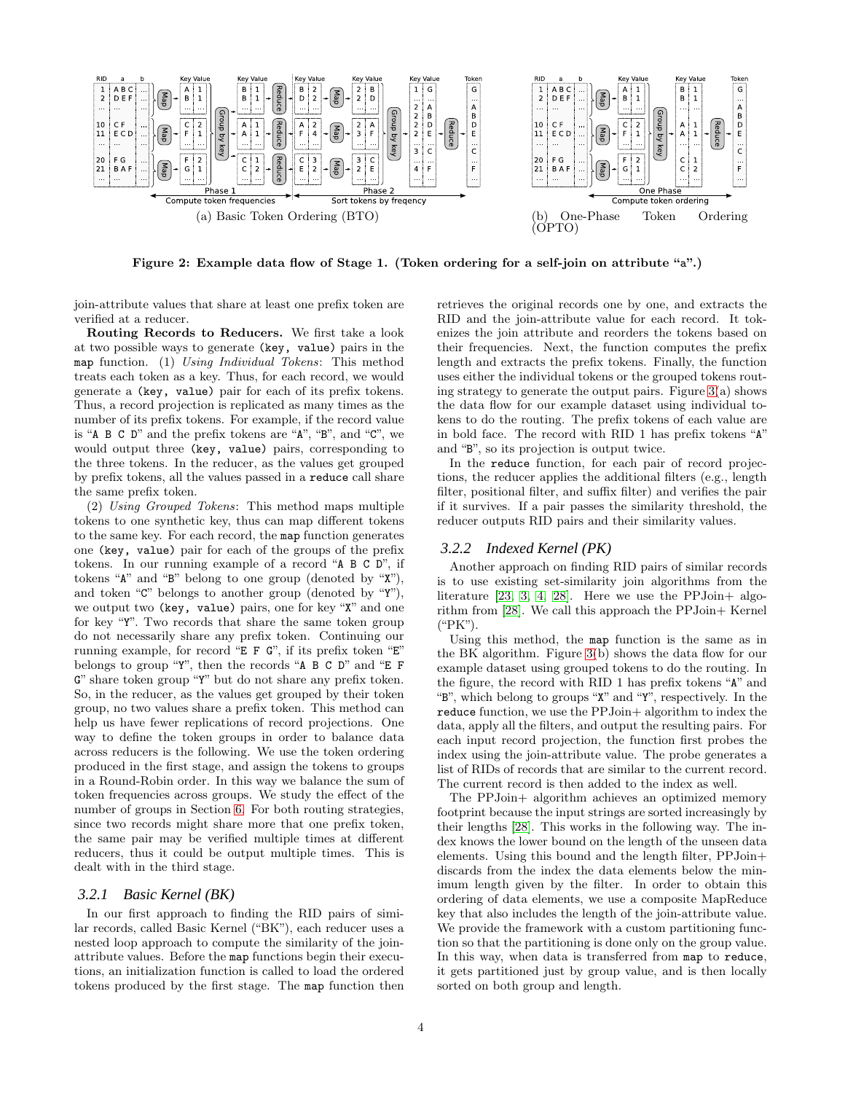

<span id="page-3-0"></span>Figure 2: Example data flow of Stage 1. (Token ordering for a self-join on attribute "a".)

join-attribute values that share at least one prefix token are verified at a reducer.

Routing Records to Reducers. We first take a look at two possible ways to generate (key, value) pairs in the map function. (1) Using Individual Tokens: This method treats each token as a key. Thus, for each record, we would generate a (key, value) pair for each of its prefix tokens. Thus, a record projection is replicated as many times as the number of its prefix tokens. For example, if the record value is "A B C D" and the prefix tokens are "A", "B", and "C", we would output three (key, value) pairs, corresponding to the three tokens. In the reducer, as the values get grouped by prefix tokens, all the values passed in a reduce call share the same prefix token.

(2) Using Grouped Tokens: This method maps multiple tokens to one synthetic key, thus can map different tokens to the same key. For each record, the map function generates one (key, value) pair for each of the groups of the prefix tokens. In our running example of a record "A B C D", if tokens "A" and "B" belong to one group (denoted by "X"), and token "C" belongs to another group (denoted by "Y"), we output two (key, value) pairs, one for key "X" and one for key "Y". Two records that share the same token group do not necessarily share any prefix token. Continuing our running example, for record "E F G", if its prefix token "E" belongs to group "Y", then the records "A B C D" and "E F G" share token group "Y" but do not share any prefix token. So, in the reducer, as the values get grouped by their token group, no two values share a prefix token. This method can help us have fewer replications of record projections. One way to define the token groups in order to balance data across reducers is the following. We use the token ordering produced in the first stage, and assign the tokens to groups in a Round-Robin order. In this way we balance the sum of token frequencies across groups. We study the effect of the number of groups in Section [6.](#page-6-1) For both routing strategies, since two records might share more that one prefix token, the same pair may be verified multiple times at different reducers, thus it could be output multiple times. This is dealt with in the third stage.

## *3.2.1 Basic Kernel (BK)*

In our first approach to finding the RID pairs of similar records, called Basic Kernel ("BK"), each reducer uses a nested loop approach to compute the similarity of the joinattribute values. Before the map functions begin their executions, an initialization function is called to load the ordered tokens produced by the first stage. The map function then retrieves the original records one by one, and extracts the RID and the join-attribute value for each record. It tokenizes the join attribute and reorders the tokens based on their frequencies. Next, the function computes the prefix length and extracts the prefix tokens. Finally, the function uses either the individual tokens or the grouped tokens routing strategy to generate the output pairs. Figure  $3(a)$  shows the data flow for our example dataset using individual tokens to do the routing. The prefix tokens of each value are in bold face. The record with RID 1 has prefix tokens "A" and "B", so its projection is output twice.

In the reduce function, for each pair of record projections, the reducer applies the additional filters (e.g., length filter, positional filter, and suffix filter) and verifies the pair if it survives. If a pair passes the similarity threshold, the reducer outputs RID pairs and their similarity values.

#### *3.2.2 Indexed Kernel (PK)*

Another approach on finding RID pairs of similar records is to use existing set-similarity join algorithms from the literature  $[23, 3, 4, 28]$  $[23, 3, 4, 28]$  $[23, 3, 4, 28]$  $[23, 3, 4, 28]$ . Here we use the PPJoin+ algorithm from [\[28\]](#page-11-16). We call this approach the PPJoin+ Kernel ("PK").

Using this method, the map function is the same as in the BK algorithm. Figure [3\(](#page-4-1)b) shows the data flow for our example dataset using grouped tokens to do the routing. In the figure, the record with RID 1 has prefix tokens "A" and "B", which belong to groups "X" and " $Y$ ", respectively. In the reduce function, we use the PPJoin+ algorithm to index the data, apply all the filters, and output the resulting pairs. For each input record projection, the function first probes the index using the join-attribute value. The probe generates a list of RIDs of records that are similar to the current record. The current record is then added to the index as well.

The PPJoin+ algorithm achieves an optimized memory footprint because the input strings are sorted increasingly by their lengths [\[28\]](#page-11-16). This works in the following way. The index knows the lower bound on the length of the unseen data elements. Using this bound and the length filter, PPJoin+ discards from the index the data elements below the minimum length given by the filter. In order to obtain this ordering of data elements, we use a composite MapReduce key that also includes the length of the join-attribute value. We provide the framework with a custom partitioning function so that the partitioning is done only on the group value. In this way, when data is transferred from map to reduce, it gets partitioned just by group value, and is then locally sorted on both group and length.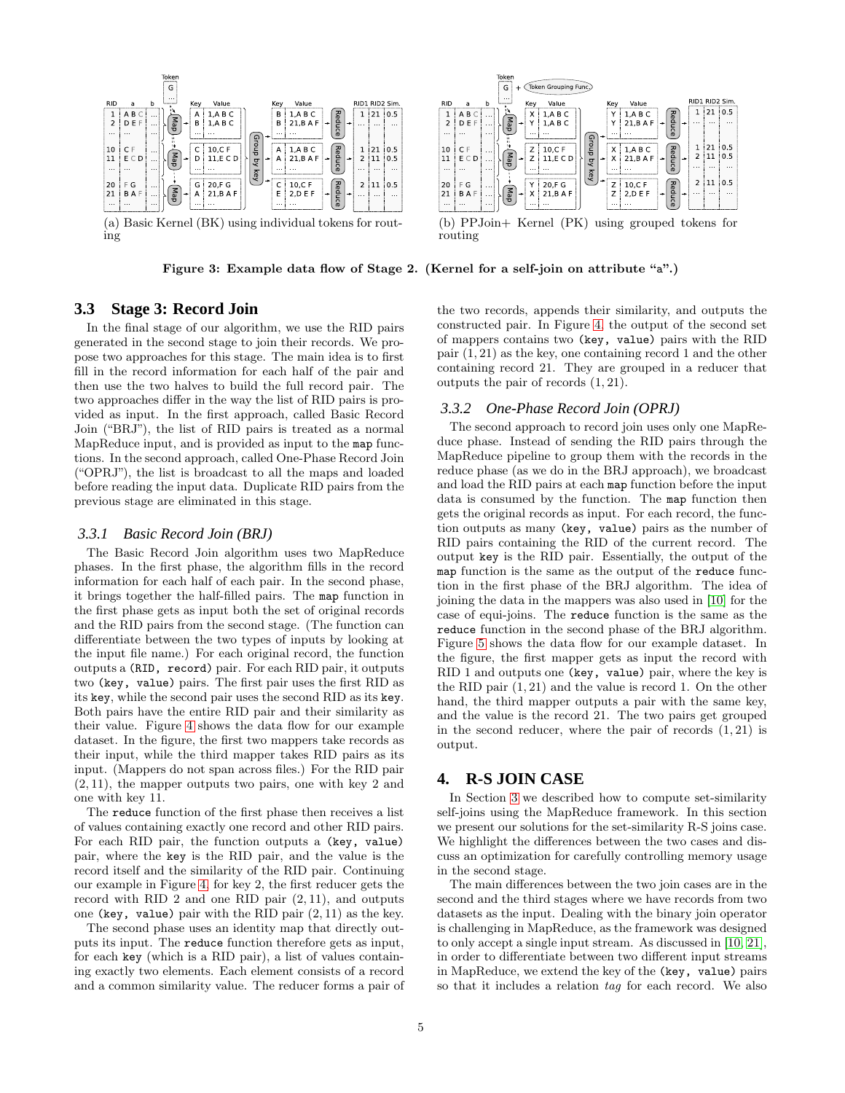

(a) Basic Kernel (BK) using individual tokens for routing

<span id="page-4-1"></span>

routing

## **3.3 Stage 3: Record Join**

In the final stage of our algorithm, we use the RID pairs generated in the second stage to join their records. We propose two approaches for this stage. The main idea is to first fill in the record information for each half of the pair and then use the two halves to build the full record pair. The two approaches differ in the way the list of RID pairs is provided as input. In the first approach, called Basic Record Join ("BRJ"), the list of RID pairs is treated as a normal MapReduce input, and is provided as input to the map functions. In the second approach, called One-Phase Record Join ("OPRJ"), the list is broadcast to all the maps and loaded before reading the input data. Duplicate RID pairs from the previous stage are eliminated in this stage.

#### *3.3.1 Basic Record Join (BRJ)*

The Basic Record Join algorithm uses two MapReduce phases. In the first phase, the algorithm fills in the record information for each half of each pair. In the second phase, it brings together the half-filled pairs. The map function in the first phase gets as input both the set of original records and the RID pairs from the second stage. (The function can differentiate between the two types of inputs by looking at the input file name.) For each original record, the function outputs a (RID, record) pair. For each RID pair, it outputs two (key, value) pairs. The first pair uses the first RID as its key, while the second pair uses the second RID as its key. Both pairs have the entire RID pair and their similarity as their value. Figure [4](#page-5-0) shows the data flow for our example dataset. In the figure, the first two mappers take records as their input, while the third mapper takes RID pairs as its input. (Mappers do not span across files.) For the RID pair (2, 11), the mapper outputs two pairs, one with key 2 and one with key 11.

The reduce function of the first phase then receives a list of values containing exactly one record and other RID pairs. For each RID pair, the function outputs a (key, value) pair, where the key is the RID pair, and the value is the record itself and the similarity of the RID pair. Continuing our example in Figure [4,](#page-5-0) for key 2, the first reducer gets the record with RID 2 and one RID pair  $(2, 11)$ , and outputs one (key, value) pair with the RID pair  $(2, 11)$  as the key.

The second phase uses an identity map that directly outputs its input. The reduce function therefore gets as input, for each key (which is a RID pair), a list of values containing exactly two elements. Each element consists of a record and a common similarity value. The reducer forms a pair of the two records, appends their similarity, and outputs the constructed pair. In Figure [4,](#page-5-0) the output of the second set of mappers contains two (key, value) pairs with the RID pair (1, 21) as the key, one containing record 1 and the other containing record 21. They are grouped in a reducer that outputs the pair of records (1, 21).

#### *3.3.2 One-Phase Record Join (OPRJ)*

<span id="page-4-2"></span>The second approach to record join uses only one MapReduce phase. Instead of sending the RID pairs through the MapReduce pipeline to group them with the records in the reduce phase (as we do in the BRJ approach), we broadcast and load the RID pairs at each map function before the input data is consumed by the function. The map function then gets the original records as input. For each record, the function outputs as many (key, value) pairs as the number of RID pairs containing the RID of the current record. The output key is the RID pair. Essentially, the output of the map function is the same as the output of the reduce function in the first phase of the BRJ algorithm. The idea of joining the data in the mappers was also used in [\[10\]](#page-11-19) for the case of equi-joins. The reduce function is the same as the reduce function in the second phase of the BRJ algorithm. Figure [5](#page-5-1) shows the data flow for our example dataset. In the figure, the first mapper gets as input the record with RID 1 and outputs one (key, value) pair, where the key is the RID pair (1, 21) and the value is record 1. On the other hand, the third mapper outputs a pair with the same key, and the value is the record 21. The two pairs get grouped in the second reducer, where the pair of records  $(1, 21)$  is output.

#### <span id="page-4-0"></span>**4. R-S JOIN CASE**

In Section [3](#page-2-0) we described how to compute set-similarity self-joins using the MapReduce framework. In this section we present our solutions for the set-similarity R-S joins case. We highlight the differences between the two cases and discuss an optimization for carefully controlling memory usage in the second stage.

The main differences between the two join cases are in the second and the third stages where we have records from two datasets as the input. Dealing with the binary join operator is challenging in MapReduce, as the framework was designed to only accept a single input stream. As discussed in [\[10,](#page-11-19) [21\]](#page-11-13), in order to differentiate between two different input streams in MapReduce, we extend the key of the (key, value) pairs so that it includes a relation tag for each record. We also

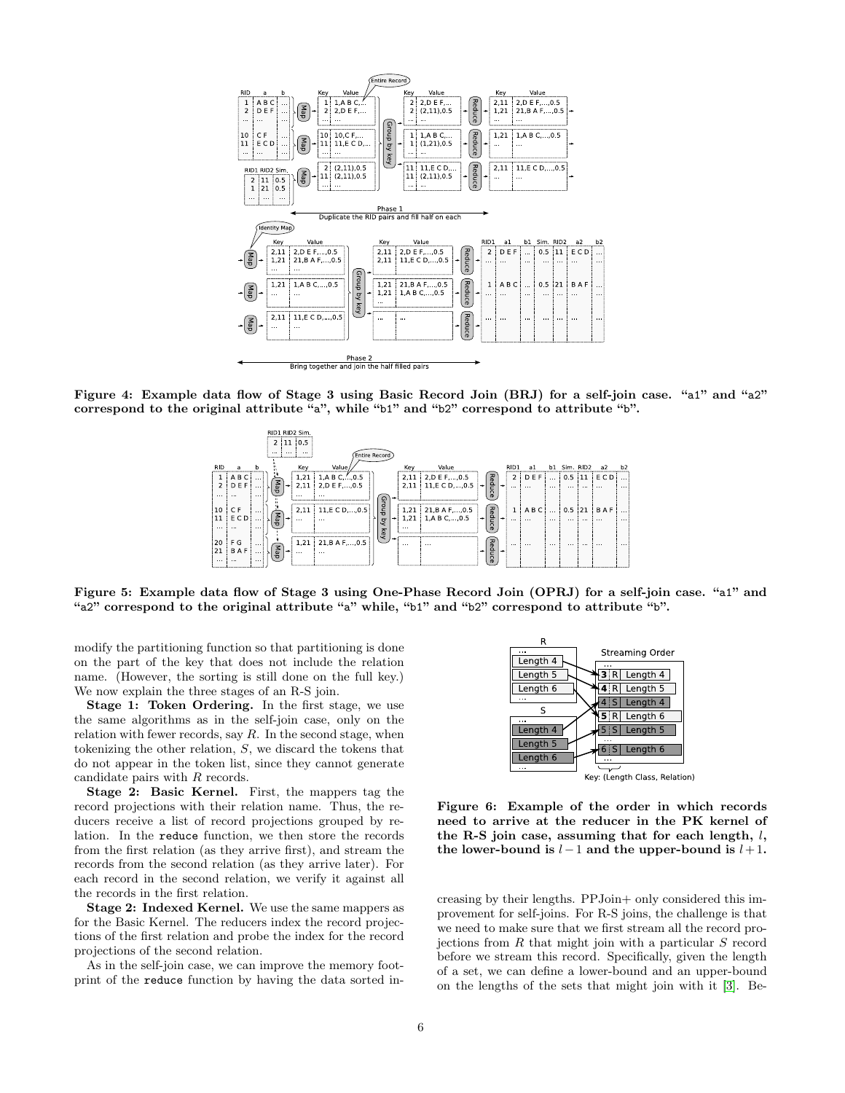

<span id="page-5-0"></span>Figure 4: Example data flow of Stage 3 using Basic Record Join (BRJ) for a self-join case. "a1" and "a2" correspond to the original attribute "a", while "b1" and "b2" correspond to attribute "b".



<span id="page-5-1"></span>Figure 5: Example data flow of Stage 3 using One-Phase Record Join (OPRJ) for a self-join case. "a1" and "a2" correspond to the original attribute "a" while, "b1" and "b2" correspond to attribute "b".

modify the partitioning function so that partitioning is done on the part of the key that does not include the relation name. (However, the sorting is still done on the full key.) We now explain the three stages of an R-S join.

Stage 1: Token Ordering. In the first stage, we use the same algorithms as in the self-join case, only on the relation with fewer records, say  $R$ . In the second stage, when tokenizing the other relation, S, we discard the tokens that do not appear in the token list, since they cannot generate candidate pairs with R records.

Stage 2: Basic Kernel. First, the mappers tag the record projections with their relation name. Thus, the reducers receive a list of record projections grouped by relation. In the reduce function, we then store the records from the first relation (as they arrive first), and stream the records from the second relation (as they arrive later). For each record in the second relation, we verify it against all the records in the first relation.

Stage 2: Indexed Kernel. We use the same mappers as for the Basic Kernel. The reducers index the record projections of the first relation and probe the index for the record projections of the second relation.

As in the self-join case, we can improve the memory footprint of the reduce function by having the data sorted in-



<span id="page-5-2"></span>Figure 6: Example of the order in which records need to arrive at the reducer in the PK kernel of the R-S join case, assuming that for each length,  $l$ , the lower-bound is  $l-1$  and the upper-bound is  $l+1$ .

creasing by their lengths. PPJoin+ only considered this improvement for self-joins. For R-S joins, the challenge is that we need to make sure that we first stream all the record projections from  $R$  that might join with a particular  $S$  record before we stream this record. Specifically, given the length of a set, we can define a lower-bound and an upper-bound on the lengths of the sets that might join with it [\[3\]](#page-11-17). Be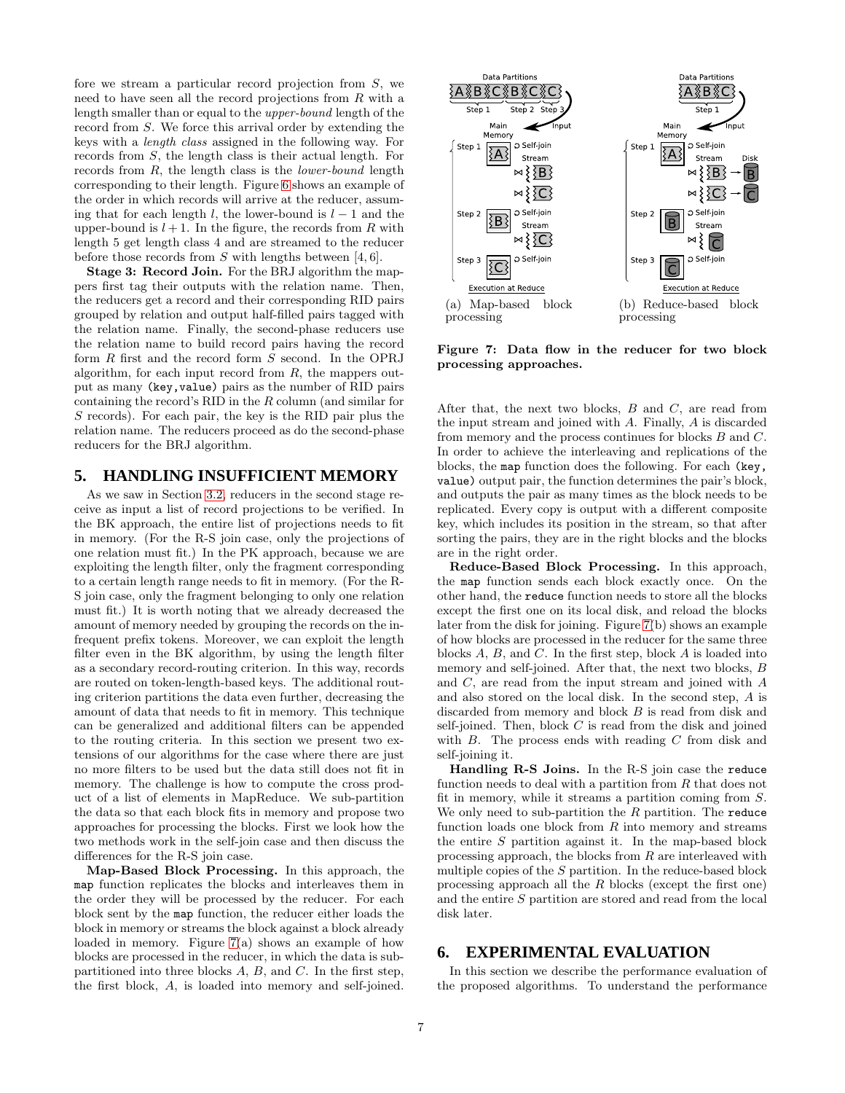fore we stream a particular record projection from S, we need to have seen all the record projections from R with a length smaller than or equal to the upper-bound length of the record from S. We force this arrival order by extending the keys with a length class assigned in the following way. For records from S, the length class is their actual length. For records from R, the length class is the *lower-bound* length corresponding to their length. Figure [6](#page-5-2) shows an example of the order in which records will arrive at the reducer, assuming that for each length l, the lower-bound is  $l-1$  and the upper-bound is  $l + 1$ . In the figure, the records from R with length 5 get length class 4 and are streamed to the reducer before those records from  $S$  with lengths between [4, 6].

Stage 3: Record Join. For the BRJ algorithm the mappers first tag their outputs with the relation name. Then, the reducers get a record and their corresponding RID pairs grouped by relation and output half-filled pairs tagged with the relation name. Finally, the second-phase reducers use the relation name to build record pairs having the record form R first and the record form S second. In the OPRJ algorithm, for each input record from  $R$ , the mappers output as many (key,value) pairs as the number of RID pairs containing the record's RID in the R column (and similar for  $S$  records). For each pair, the key is the RID pair plus the relation name. The reducers proceed as do the second-phase reducers for the BRJ algorithm.

## <span id="page-6-0"></span>**5. HANDLING INSUFFICIENT MEMORY**

As we saw in Section [3.2,](#page-2-2) reducers in the second stage receive as input a list of record projections to be verified. In the BK approach, the entire list of projections needs to fit in memory. (For the R-S join case, only the projections of one relation must fit.) In the PK approach, because we are exploiting the length filter, only the fragment corresponding to a certain length range needs to fit in memory. (For the R-S join case, only the fragment belonging to only one relation must fit.) It is worth noting that we already decreased the amount of memory needed by grouping the records on the infrequent prefix tokens. Moreover, we can exploit the length filter even in the BK algorithm, by using the length filter as a secondary record-routing criterion. In this way, records are routed on token-length-based keys. The additional routing criterion partitions the data even further, decreasing the amount of data that needs to fit in memory. This technique can be generalized and additional filters can be appended to the routing criteria. In this section we present two extensions of our algorithms for the case where there are just no more filters to be used but the data still does not fit in memory. The challenge is how to compute the cross product of a list of elements in MapReduce. We sub-partition the data so that each block fits in memory and propose two approaches for processing the blocks. First we look how the two methods work in the self-join case and then discuss the differences for the R-S join case.

Map-Based Block Processing. In this approach, the map function replicates the blocks and interleaves them in the order they will be processed by the reducer. For each block sent by the map function, the reducer either loads the block in memory or streams the block against a block already loaded in memory. Figure [7\(](#page-6-2)a) shows an example of how blocks are processed in the reducer, in which the data is subpartitioned into three blocks  $A, B$ , and  $C$ . In the first step, the first block, A, is loaded into memory and self-joined.



<span id="page-6-2"></span>Figure 7: Data flow in the reducer for two block processing approaches.

After that, the next two blocks, B and C, are read from the input stream and joined with A. Finally, A is discarded from memory and the process continues for blocks B and C. In order to achieve the interleaving and replications of the blocks, the map function does the following. For each (key, value) output pair, the function determines the pair's block, and outputs the pair as many times as the block needs to be replicated. Every copy is output with a different composite key, which includes its position in the stream, so that after sorting the pairs, they are in the right blocks and the blocks are in the right order.

Reduce-Based Block Processing. In this approach, the map function sends each block exactly once. On the other hand, the reduce function needs to store all the blocks except the first one on its local disk, and reload the blocks later from the disk for joining. Figure [7\(](#page-6-2)b) shows an example of how blocks are processed in the reducer for the same three blocks  $A, B$ , and  $C$ . In the first step, block  $A$  is loaded into memory and self-joined. After that, the next two blocks, B and C, are read from the input stream and joined with A and also stored on the local disk. In the second step, A is discarded from memory and block B is read from disk and self-joined. Then, block  $C$  is read from the disk and joined with B. The process ends with reading C from disk and self-joining it.

Handling R-S Joins. In the R-S join case the reduce function needs to deal with a partition from R that does not fit in memory, while it streams a partition coming from S. We only need to sub-partition the  $R$  partition. The reduce function loads one block from  $R$  into memory and streams the entire  $S$  partition against it. In the map-based block processing approach, the blocks from R are interleaved with multiple copies of the  $S$  partition. In the reduce-based block processing approach all the R blocks (except the first one) and the entire S partition are stored and read from the local disk later.

# <span id="page-6-1"></span>**6. EXPERIMENTAL EVALUATION**

In this section we describe the performance evaluation of the proposed algorithms. To understand the performance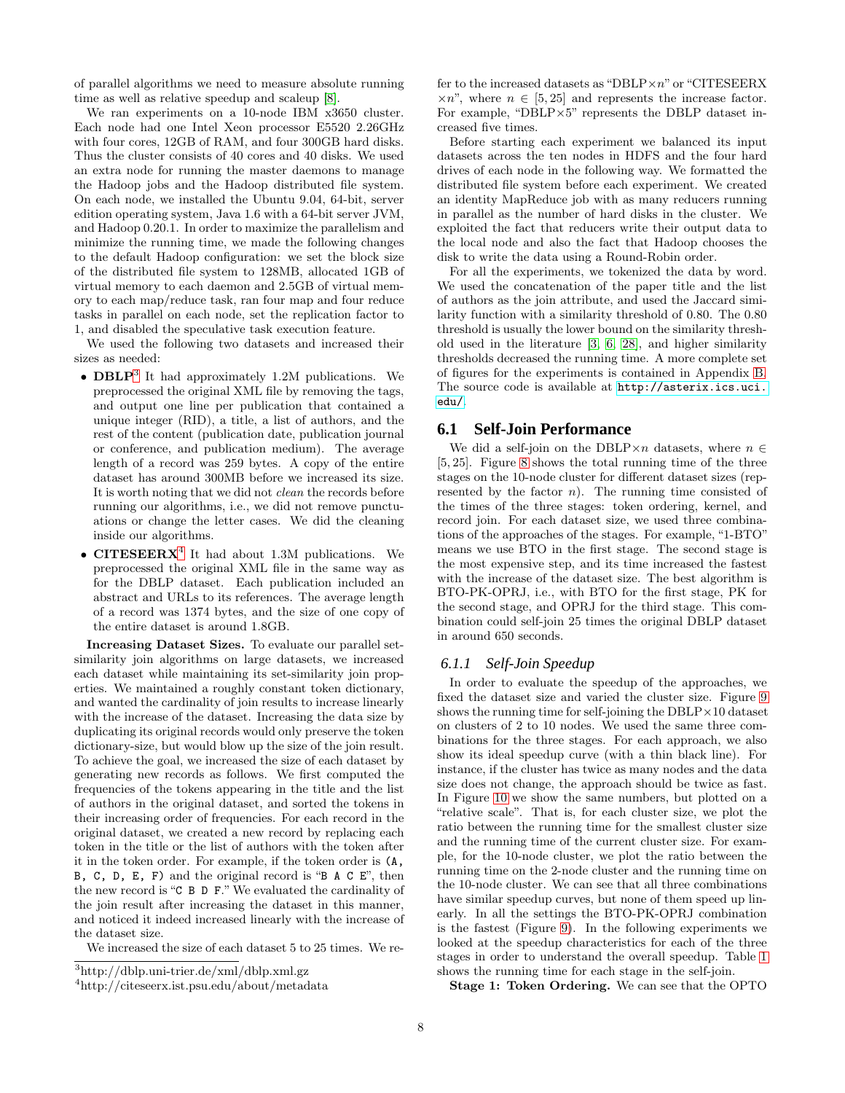of parallel algorithms we need to measure absolute running time as well as relative speedup and scaleup [\[8\]](#page-11-12).

We ran experiments on a 10-node IBM x3650 cluster. Each node had one Intel Xeon processor E5520 2.26GHz with four cores, 12GB of RAM, and four 300GB hard disks. Thus the cluster consists of 40 cores and 40 disks. We used an extra node for running the master daemons to manage the Hadoop jobs and the Hadoop distributed file system. On each node, we installed the Ubuntu 9.04, 64-bit, server edition operating system, Java 1.6 with a 64-bit server JVM, and Hadoop 0.20.1. In order to maximize the parallelism and minimize the running time, we made the following changes to the default Hadoop configuration: we set the block size of the distributed file system to 128MB, allocated 1GB of virtual memory to each daemon and 2.5GB of virtual memory to each map/reduce task, ran four map and four reduce tasks in parallel on each node, set the replication factor to 1, and disabled the speculative task execution feature.

We used the following two datasets and increased their sizes as needed:

- **DBLP**<sup>[3](#page-7-0)</sup> It had approximately 1.2M publications. We preprocessed the original XML file by removing the tags, and output one line per publication that contained a unique integer (RID), a title, a list of authors, and the rest of the content (publication date, publication journal or conference, and publication medium). The average length of a record was 259 bytes. A copy of the entire dataset has around 300MB before we increased its size. It is worth noting that we did not clean the records before running our algorithms, i.e., we did not remove punctuations or change the letter cases. We did the cleaning inside our algorithms.
- CITESEER $X^4$  $X^4$  It had about 1.3M publications. We preprocessed the original XML file in the same way as for the DBLP dataset. Each publication included an abstract and URLs to its references. The average length of a record was 1374 bytes, and the size of one copy of the entire dataset is around 1.8GB.

Increasing Dataset Sizes. To evaluate our parallel setsimilarity join algorithms on large datasets, we increased each dataset while maintaining its set-similarity join properties. We maintained a roughly constant token dictionary, and wanted the cardinality of join results to increase linearly with the increase of the dataset. Increasing the data size by duplicating its original records would only preserve the token dictionary-size, but would blow up the size of the join result. To achieve the goal, we increased the size of each dataset by generating new records as follows. We first computed the frequencies of the tokens appearing in the title and the list of authors in the original dataset, and sorted the tokens in their increasing order of frequencies. For each record in the original dataset, we created a new record by replacing each token in the title or the list of authors with the token after it in the token order. For example, if the token order is (A, B, C, D, E, F) and the original record is "B A C E", then the new record is "C B D F."We evaluated the cardinality of the join result after increasing the dataset in this manner, and noticed it indeed increased linearly with the increase of the dataset size.

We increased the size of each dataset 5 to 25 times. We re-

fer to the increased datasets as "DBLP $\times n$ " or "CITESEERX  $\times n$ ", where  $n \in [5, 25]$  and represents the increase factor. For example, "DBLP $\times$ 5" represents the DBLP dataset increased five times.

Before starting each experiment we balanced its input datasets across the ten nodes in HDFS and the four hard drives of each node in the following way. We formatted the distributed file system before each experiment. We created an identity MapReduce job with as many reducers running in parallel as the number of hard disks in the cluster. We exploited the fact that reducers write their output data to the local node and also the fact that Hadoop chooses the disk to write the data using a Round-Robin order.

For all the experiments, we tokenized the data by word. We used the concatenation of the paper title and the list of authors as the join attribute, and used the Jaccard similarity function with a similarity threshold of 0.80. The 0.80 threshold is usually the lower bound on the similarity threshold used in the literature [\[3,](#page-11-17) [6,](#page-11-14) [28\]](#page-11-16), and higher similarity thresholds decreased the running time. A more complete set of figures for the experiments is contained in Appendix [B.](#page-12-1) The source code is available at [http://asterix.ics.uci.](http://asterix.ics.uci.edu/) [edu/](http://asterix.ics.uci.edu/).

#### **6.1 Self-Join Performance**

We did a self-join on the DBLP×n datasets, where  $n \in$ [5, 25]. Figure [8](#page-8-0) shows the total running time of the three stages on the 10-node cluster for different dataset sizes (represented by the factor  $n$ ). The running time consisted of the times of the three stages: token ordering, kernel, and record join. For each dataset size, we used three combinations of the approaches of the stages. For example, "1-BTO" means we use BTO in the first stage. The second stage is the most expensive step, and its time increased the fastest with the increase of the dataset size. The best algorithm is BTO-PK-OPRJ, i.e., with BTO for the first stage, PK for the second stage, and OPRJ for the third stage. This combination could self-join 25 times the original DBLP dataset in around 650 seconds.

## *6.1.1 Self-Join Speedup*

In order to evaluate the speedup of the approaches, we fixed the dataset size and varied the cluster size. Figure [9](#page-8-1) shows the running time for self-joining the DBLP $\times$ 10 dataset on clusters of 2 to 10 nodes. We used the same three combinations for the three stages. For each approach, we also show its ideal speedup curve (with a thin black line). For instance, if the cluster has twice as many nodes and the data size does not change, the approach should be twice as fast. In Figure [10](#page-8-2) we show the same numbers, but plotted on a "relative scale". That is, for each cluster size, we plot the ratio between the running time for the smallest cluster size and the running time of the current cluster size. For example, for the 10-node cluster, we plot the ratio between the running time on the 2-node cluster and the running time on the 10-node cluster. We can see that all three combinations have similar speedup curves, but none of them speed up linearly. In all the settings the BTO-PK-OPRJ combination is the fastest (Figure [9\)](#page-8-1). In the following experiments we looked at the speedup characteristics for each of the three stages in order to understand the overall speedup. Table [1](#page-8-3) shows the running time for each stage in the self-join.

Stage 1: Token Ordering. We can see that the OPTO

<sup>3</sup>http://dblp.uni-trier.de/xml/dblp.xml.gz

<span id="page-7-1"></span><span id="page-7-0"></span><sup>4</sup>http://citeseerx.ist.psu.edu/about/metadata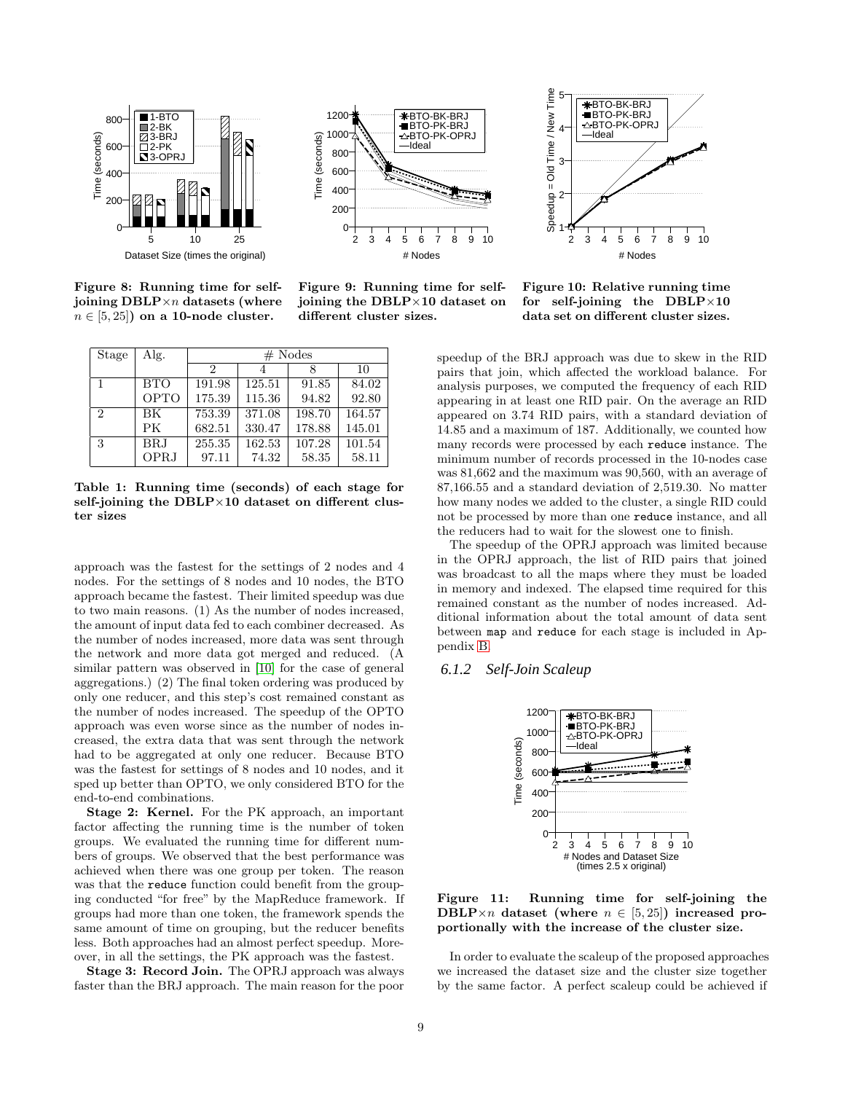

<span id="page-8-0"></span>Figure 8: Running time for selfjoining  $DBLP\times n$  datasets (where  $n \in [5, 25]$  on a 10-node cluster.



<span id="page-8-1"></span>Figure 9: Running time for selfjoining the DBLP×10 dataset on different cluster sizes.



<span id="page-8-2"></span>Figure 10: Relative running time for self-joining the  $DBLP \times 10$ data set on different cluster sizes.

| Stage                       | Alg.       | $#$ Nodes |        |        |        |
|-----------------------------|------------|-----------|--------|--------|--------|
|                             |            | 2         |        |        | 10     |
| 1                           | <b>BTO</b> | 191.98    | 125.51 | 91.85  | 84.02  |
|                             | OPTO       | 175.39    | 115.36 | 94.82  | 92.80  |
| $\mathcal{D}_{\mathcal{L}}$ | ВK         | 753.39    | 371.08 | 198.70 | 164.57 |
|                             | PK.        | 682.51    | 330.47 | 178.88 | 145.01 |
| 3                           | <b>BRJ</b> | 255.35    | 162.53 | 107.28 | 101.54 |
|                             | OPRJ       | 97.11     | 74.32  | 58.35  | 58.11  |

<span id="page-8-3"></span>Table 1: Running time (seconds) of each stage for self-joining the  $DBLP \times 10$  dataset on different cluster sizes

approach was the fastest for the settings of 2 nodes and 4 nodes. For the settings of 8 nodes and 10 nodes, the BTO approach became the fastest. Their limited speedup was due to two main reasons. (1) As the number of nodes increased, the amount of input data fed to each combiner decreased. As the number of nodes increased, more data was sent through the network and more data got merged and reduced. (A similar pattern was observed in [\[10\]](#page-11-19) for the case of general aggregations.) (2) The final token ordering was produced by only one reducer, and this step's cost remained constant as the number of nodes increased. The speedup of the OPTO approach was even worse since as the number of nodes increased, the extra data that was sent through the network had to be aggregated at only one reducer. Because BTO was the fastest for settings of 8 nodes and 10 nodes, and it sped up better than OPTO, we only considered BTO for the end-to-end combinations.

Stage 2: Kernel. For the PK approach, an important factor affecting the running time is the number of token groups. We evaluated the running time for different numbers of groups. We observed that the best performance was achieved when there was one group per token. The reason was that the reduce function could benefit from the grouping conducted "for free" by the MapReduce framework. If groups had more than one token, the framework spends the same amount of time on grouping, but the reducer benefits less. Both approaches had an almost perfect speedup. Moreover, in all the settings, the PK approach was the fastest.

Stage 3: Record Join. The OPRJ approach was always faster than the BRJ approach. The main reason for the poor speedup of the BRJ approach was due to skew in the RID pairs that join, which affected the workload balance. For analysis purposes, we computed the frequency of each RID appearing in at least one RID pair. On the average an RID appeared on 3.74 RID pairs, with a standard deviation of 14.85 and a maximum of 187. Additionally, we counted how many records were processed by each reduce instance. The minimum number of records processed in the 10-nodes case was 81,662 and the maximum was 90,560, with an average of 87,166.55 and a standard deviation of 2,519.30. No matter how many nodes we added to the cluster, a single RID could not be processed by more than one reduce instance, and all the reducers had to wait for the slowest one to finish.

The speedup of the OPRJ approach was limited because in the OPRJ approach, the list of RID pairs that joined was broadcast to all the maps where they must be loaded in memory and indexed. The elapsed time required for this remained constant as the number of nodes increased. Additional information about the total amount of data sent between map and reduce for each stage is included in Appendix [B.](#page-12-1)

## *6.1.2 Self-Join Scaleup*



<span id="page-8-4"></span>Figure 11: Running time for self-joining the DBLP×n dataset (where  $n \in [5, 25]$ ) increased proportionally with the increase of the cluster size.

In order to evaluate the scaleup of the proposed approaches we increased the dataset size and the cluster size together by the same factor. A perfect scaleup could be achieved if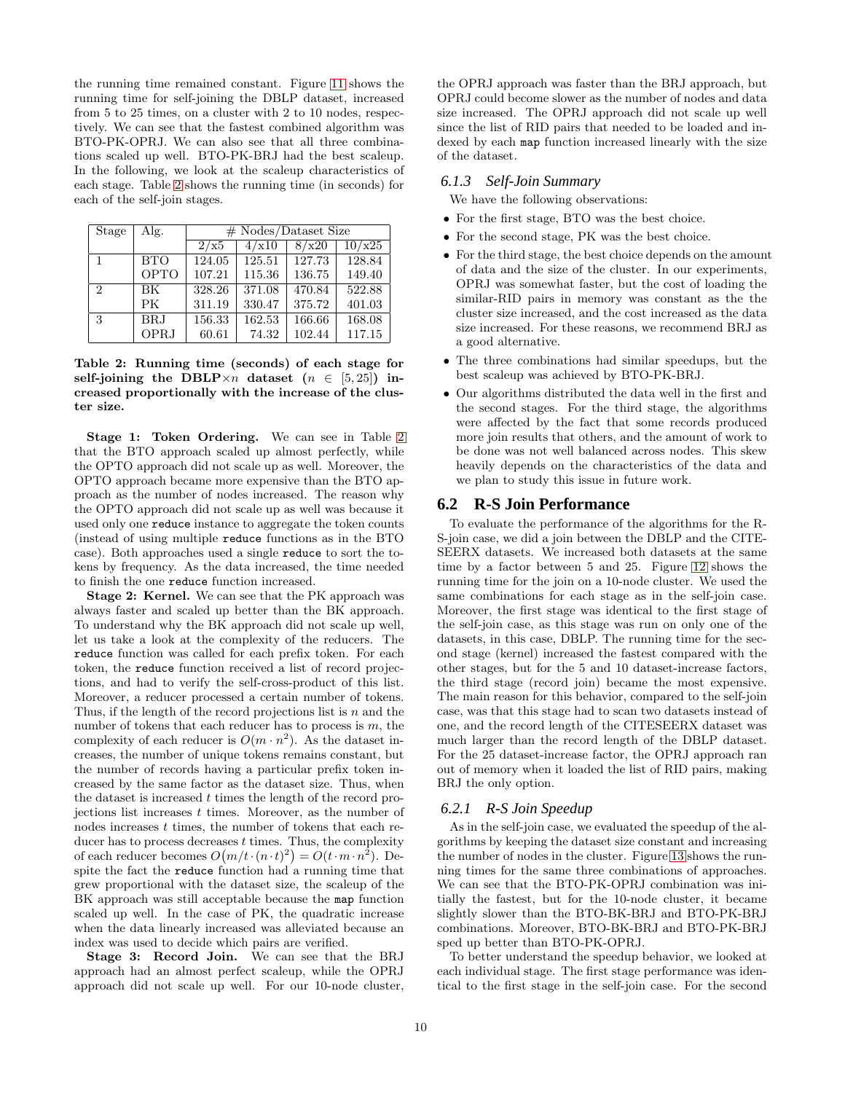the running time remained constant. Figure [11](#page-8-4) shows the running time for self-joining the DBLP dataset, increased from 5 to 25 times, on a cluster with 2 to 10 nodes, respectively. We can see that the fastest combined algorithm was BTO-PK-OPRJ. We can also see that all three combinations scaled up well. BTO-PK-BRJ had the best scaleup. In the following, we look at the scaleup characteristics of each stage. Table [2](#page-9-0) shows the running time (in seconds) for each of the self-join stages.

| Stage                       | Alg.        | $#$ Nodes/Dataset Size |        |        |        |
|-----------------------------|-------------|------------------------|--------|--------|--------|
|                             |             | 2/x5                   | 4/x10  | 8/x20  | 10/x25 |
|                             | <b>BTO</b>  | 124.05                 | 125.51 | 127.73 | 128.84 |
|                             | <b>OPTO</b> | 107.21                 | 115.36 | 136.75 | 149.40 |
| $\mathcal{D}_{\mathcal{L}}$ | BK          | 328.26                 | 371.08 | 470.84 | 522.88 |
|                             | PK.         | 311.19                 | 330.47 | 375.72 | 401.03 |
| 3                           | <b>BRJ</b>  | 156.33                 | 162.53 | 166.66 | 168.08 |
|                             | OPRJ        | 60.61                  | 74.32  | 102.44 | 117.15 |

<span id="page-9-0"></span>Table 2: Running time (seconds) of each stage for self-joining the DBLP×n dataset  $(n \in [5, 25])$  increased proportionally with the increase of the cluster size.

Stage 1: Token Ordering. We can see in Table [2](#page-9-0) that the BTO approach scaled up almost perfectly, while the OPTO approach did not scale up as well. Moreover, the OPTO approach became more expensive than the BTO approach as the number of nodes increased. The reason why the OPTO approach did not scale up as well was because it used only one reduce instance to aggregate the token counts (instead of using multiple reduce functions as in the BTO case). Both approaches used a single reduce to sort the tokens by frequency. As the data increased, the time needed to finish the one reduce function increased.

Stage 2: Kernel. We can see that the PK approach was always faster and scaled up better than the BK approach. To understand why the BK approach did not scale up well, let us take a look at the complexity of the reducers. The reduce function was called for each prefix token. For each token, the reduce function received a list of record projections, and had to verify the self-cross-product of this list. Moreover, a reducer processed a certain number of tokens. Thus, if the length of the record projections list is  $n$  and the number of tokens that each reducer has to process is  $m$ , the complexity of each reducer is  $O(m \cdot n^2)$ . As the dataset increases, the number of unique tokens remains constant, but the number of records having a particular prefix token increased by the same factor as the dataset size. Thus, when the dataset is increased  $t$  times the length of the record projections list increases  $t$  times. Moreover, as the number of nodes increases  $t$  times, the number of tokens that each reducer has to process decreases  $t$  times. Thus, the complexity of each reducer becomes  $O(m/t \cdot (n \cdot t)^2) = O(t \cdot m \cdot n^2)$ . Despite the fact the reduce function had a running time that grew proportional with the dataset size, the scaleup of the BK approach was still acceptable because the map function scaled up well. In the case of PK, the quadratic increase when the data linearly increased was alleviated because an index was used to decide which pairs are verified.

Stage 3: Record Join. We can see that the BRJ approach had an almost perfect scaleup, while the OPRJ approach did not scale up well. For our 10-node cluster, the OPRJ approach was faster than the BRJ approach, but OPRJ could become slower as the number of nodes and data size increased. The OPRJ approach did not scale up well since the list of RID pairs that needed to be loaded and indexed by each map function increased linearly with the size of the dataset.

## *6.1.3 Self-Join Summary*

We have the following observations:

- For the first stage, BTO was the best choice.
- For the second stage, PK was the best choice.
- For the third stage, the best choice depends on the amount of data and the size of the cluster. In our experiments, OPRJ was somewhat faster, but the cost of loading the similar-RID pairs in memory was constant as the the cluster size increased, and the cost increased as the data size increased. For these reasons, we recommend BRJ as a good alternative.
- The three combinations had similar speedups, but the best scaleup was achieved by BTO-PK-BRJ.
- Our algorithms distributed the data well in the first and the second stages. For the third stage, the algorithms were affected by the fact that some records produced more join results that others, and the amount of work to be done was not well balanced across nodes. This skew heavily depends on the characteristics of the data and we plan to study this issue in future work.

#### **6.2 R-S Join Performance**

To evaluate the performance of the algorithms for the R-S-join case, we did a join between the DBLP and the CITE-SEERX datasets. We increased both datasets at the same time by a factor between 5 and 25. Figure [12](#page-10-1) shows the running time for the join on a 10-node cluster. We used the same combinations for each stage as in the self-join case. Moreover, the first stage was identical to the first stage of the self-join case, as this stage was run on only one of the datasets, in this case, DBLP. The running time for the second stage (kernel) increased the fastest compared with the other stages, but for the 5 and 10 dataset-increase factors, the third stage (record join) became the most expensive. The main reason for this behavior, compared to the self-join case, was that this stage had to scan two datasets instead of one, and the record length of the CITESEERX dataset was much larger than the record length of the DBLP dataset. For the 25 dataset-increase factor, the OPRJ approach ran out of memory when it loaded the list of RID pairs, making BRJ the only option.

#### *6.2.1 R-S Join Speedup*

As in the self-join case, we evaluated the speedup of the algorithms by keeping the dataset size constant and increasing the number of nodes in the cluster. Figure [13](#page-10-2) shows the running times for the same three combinations of approaches. We can see that the BTO-PK-OPRJ combination was initially the fastest, but for the 10-node cluster, it became slightly slower than the BTO-BK-BRJ and BTO-PK-BRJ combinations. Moreover, BTO-BK-BRJ and BTO-PK-BRJ sped up better than BTO-PK-OPRJ.

To better understand the speedup behavior, we looked at each individual stage. The first stage performance was identical to the first stage in the self-join case. For the second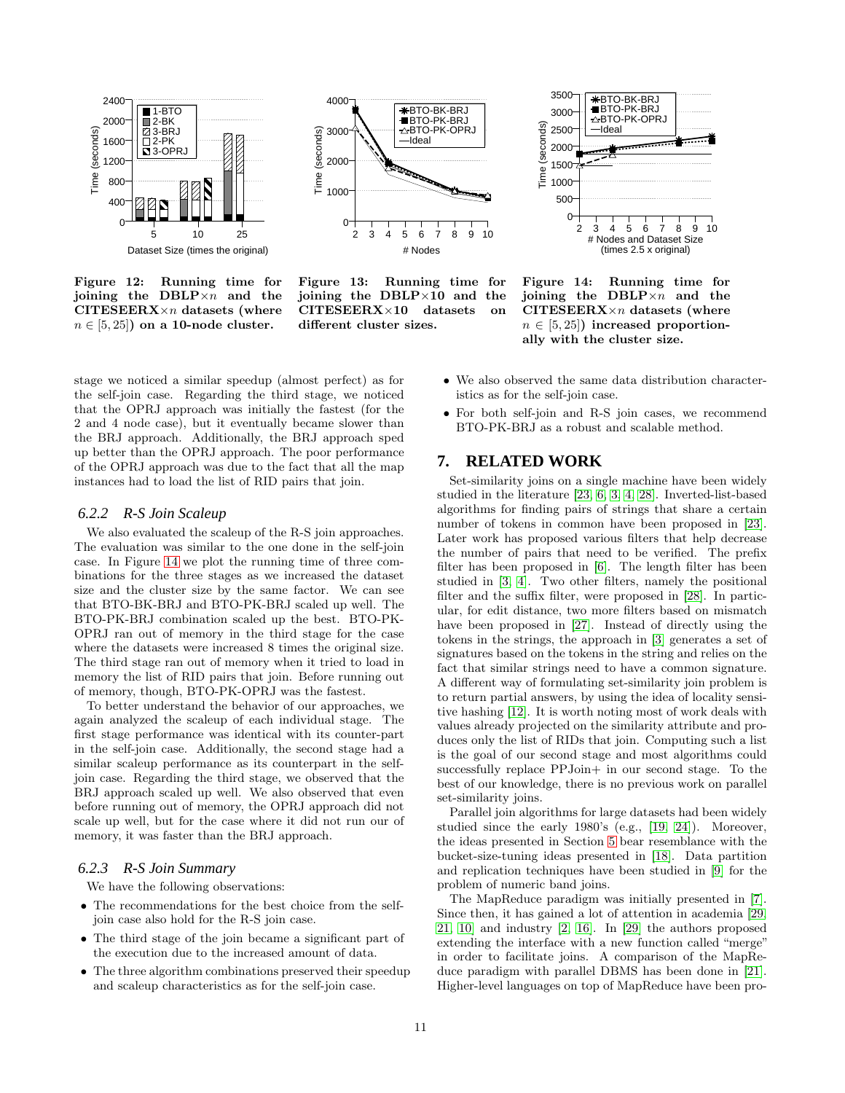

<span id="page-10-1"></span>Figure 12: Running time for joining the  $DBLP \times n$  and the CITESEERX $\times n$  datasets (where  $n \in [5, 25]$  on a 10-node cluster.



<span id="page-10-2"></span>Figure 13: Running time for joining the DBLP×10 and the CITESEERX×10 datasets on different cluster sizes.



<span id="page-10-3"></span>Figure 14: Running time for joining the  $DBLP \times n$  and the  $CITERX\times n$  datasets (where  $n \in [5, 25]$  increased proportionally with the cluster size.

stage we noticed a similar speedup (almost perfect) as for the self-join case. Regarding the third stage, we noticed that the OPRJ approach was initially the fastest (for the 2 and 4 node case), but it eventually became slower than the BRJ approach. Additionally, the BRJ approach sped up better than the OPRJ approach. The poor performance of the OPRJ approach was due to the fact that all the map instances had to load the list of RID pairs that join.

#### *6.2.2 R-S Join Scaleup*

We also evaluated the scaleup of the R-S join approaches. The evaluation was similar to the one done in the self-join case. In Figure [14](#page-10-3) we plot the running time of three combinations for the three stages as we increased the dataset size and the cluster size by the same factor. We can see that BTO-BK-BRJ and BTO-PK-BRJ scaled up well. The BTO-PK-BRJ combination scaled up the best. BTO-PK-OPRJ ran out of memory in the third stage for the case where the datasets were increased 8 times the original size. The third stage ran out of memory when it tried to load in memory the list of RID pairs that join. Before running out of memory, though, BTO-PK-OPRJ was the fastest.

To better understand the behavior of our approaches, we again analyzed the scaleup of each individual stage. The first stage performance was identical with its counter-part in the self-join case. Additionally, the second stage had a similar scaleup performance as its counterpart in the selfjoin case. Regarding the third stage, we observed that the BRJ approach scaled up well. We also observed that even before running out of memory, the OPRJ approach did not scale up well, but for the case where it did not run our of memory, it was faster than the BRJ approach.

#### *6.2.3 R-S Join Summary*

We have the following observations:

- The recommendations for the best choice from the selfjoin case also hold for the R-S join case.
- The third stage of the join became a significant part of the execution due to the increased amount of data.
- The three algorithm combinations preserved their speedup and scaleup characteristics as for the self-join case.
- We also observed the same data distribution characteristics as for the self-join case.
- For both self-join and R-S join cases, we recommend BTO-PK-BRJ as a robust and scalable method.

## <span id="page-10-0"></span>**7. RELATED WORK**

Set-similarity joins on a single machine have been widely studied in the literature [\[23,](#page-11-18) [6,](#page-11-14) [3,](#page-11-17) [4,](#page-11-15) [28\]](#page-11-16). Inverted-list-based algorithms for finding pairs of strings that share a certain number of tokens in common have been proposed in [\[23\]](#page-11-18). Later work has proposed various filters that help decrease the number of pairs that need to be verified. The prefix filter has been proposed in [\[6\]](#page-11-14). The length filter has been studied in [\[3,](#page-11-17) [4\]](#page-11-15). Two other filters, namely the positional filter and the suffix filter, were proposed in [\[28\]](#page-11-16). In particular, for edit distance, two more filters based on mismatch have been proposed in [\[27\]](#page-11-20). Instead of directly using the tokens in the strings, the approach in [\[3\]](#page-11-17) generates a set of signatures based on the tokens in the string and relies on the fact that similar strings need to have a common signature. A different way of formulating set-similarity join problem is to return partial answers, by using the idea of locality sensitive hashing [\[12\]](#page-11-21). It is worth noting most of work deals with values already projected on the similarity attribute and produces only the list of RIDs that join. Computing such a list is the goal of our second stage and most algorithms could successfully replace PPJoin+ in our second stage. To the best of our knowledge, there is no previous work on parallel set-similarity joins.

Parallel join algorithms for large datasets had been widely studied since the early 1980's (e.g., [\[19,](#page-11-22) [24\]](#page-11-23)). Moreover, the ideas presented in Section [5](#page-6-0) bear resemblance with the bucket-size-tuning ideas presented in [\[18\]](#page-11-24). Data partition and replication techniques have been studied in [\[9\]](#page-11-25) for the problem of numeric band joins.

The MapReduce paradigm was initially presented in [\[7\]](#page-11-8). Since then, it has gained a lot of attention in academia [\[29,](#page-11-26) [21,](#page-11-13) [10\]](#page-11-19) and industry [\[2,](#page-11-27) [16\]](#page-11-28). In [\[29\]](#page-11-26) the authors proposed extending the interface with a new function called "merge" in order to facilitate joins. A comparison of the MapReduce paradigm with parallel DBMS has been done in [\[21\]](#page-11-13). Higher-level languages on top of MapReduce have been pro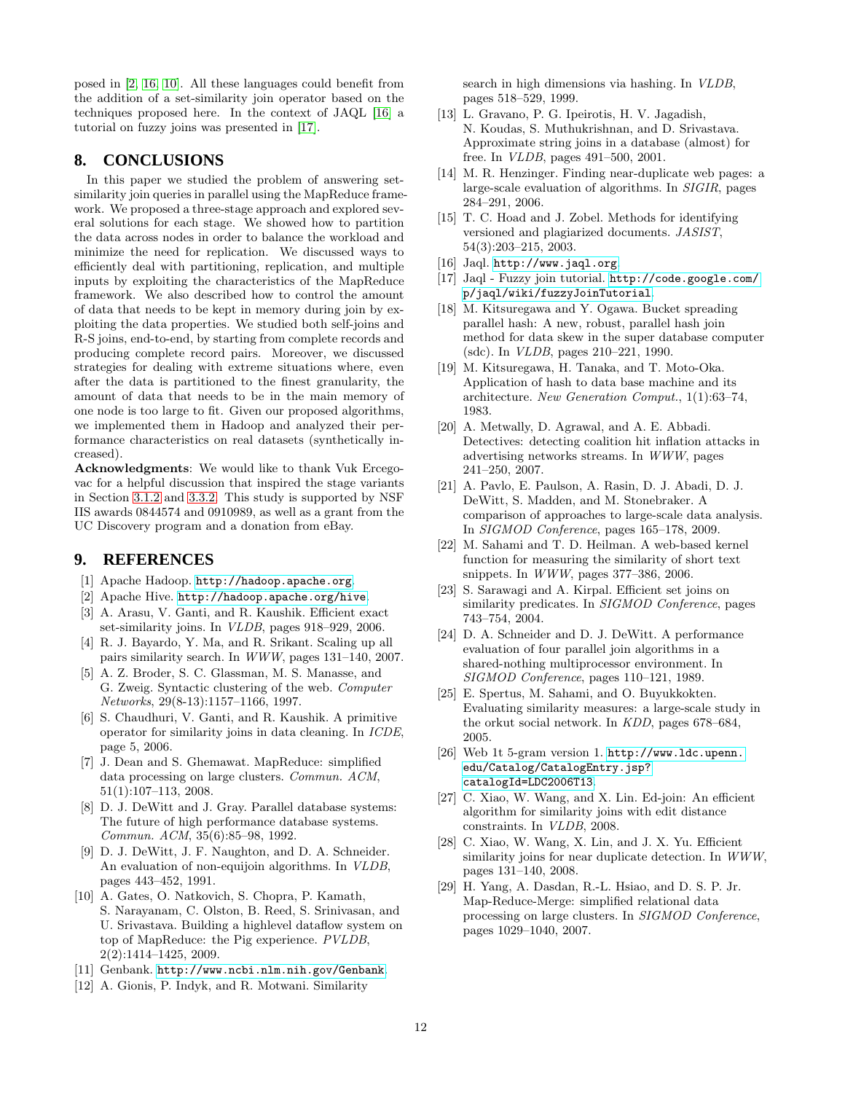posed in [\[2,](#page-11-27) [16,](#page-11-28) [10\]](#page-11-19). All these languages could benefit from the addition of a set-similarity join operator based on the techniques proposed here. In the context of JAQL [\[16\]](#page-11-28) a tutorial on fuzzy joins was presented in [\[17\]](#page-11-29).

# <span id="page-11-9"></span>**8. CONCLUSIONS**

In this paper we studied the problem of answering setsimilarity join queries in parallel using the MapReduce framework. We proposed a three-stage approach and explored several solutions for each stage. We showed how to partition the data across nodes in order to balance the workload and minimize the need for replication. We discussed ways to efficiently deal with partitioning, replication, and multiple inputs by exploiting the characteristics of the MapReduce framework. We also described how to control the amount of data that needs to be kept in memory during join by exploiting the data properties. We studied both self-joins and R-S joins, end-to-end, by starting from complete records and producing complete record pairs. Moreover, we discussed strategies for dealing with extreme situations where, even after the data is partitioned to the finest granularity, the amount of data that needs to be in the main memory of one node is too large to fit. Given our proposed algorithms, we implemented them in Hadoop and analyzed their performance characteristics on real datasets (synthetically increased).

Acknowledgments: We would like to thank Vuk Ercegovac for a helpful discussion that inspired the stage variants in Section [3.1.2](#page-2-3) and [3.3.2.](#page-4-2) This study is supported by NSF IIS awards 0844574 and 0910989, as well as a grant from the UC Discovery program and a donation from eBay.

## <span id="page-11-27"></span><span id="page-11-10"></span>**9. REFERENCES**

- [1] Apache Hadoop. <http://hadoop.apache.org>.
- <span id="page-11-17"></span>[2] Apache Hive. <http://hadoop.apache.org/hive>.
- [3] A. Arasu, V. Ganti, and R. Kaushik. Efficient exact set-similarity joins. In VLDB, pages 918–929, 2006.
- <span id="page-11-15"></span>[4] R. J. Bayardo, Y. Ma, and R. Srikant. Scaling up all pairs similarity search. In WWW, pages 131–140, 2007.
- <span id="page-11-1"></span>[5] A. Z. Broder, S. C. Glassman, M. S. Manasse, and G. Zweig. Syntactic clustering of the web. Computer Networks, 29(8-13):1157–1166, 1997.
- <span id="page-11-14"></span>[6] S. Chaudhuri, V. Ganti, and R. Kaushik. A primitive operator for similarity joins in data cleaning. In ICDE, page 5, 2006.
- <span id="page-11-8"></span>[7] J. Dean and S. Ghemawat. MapReduce: simplified data processing on large clusters. Commun. ACM, 51(1):107–113, 2008.
- <span id="page-11-12"></span>[8] D. J. DeWitt and J. Gray. Parallel database systems: The future of high performance database systems. Commun. ACM, 35(6):85–98, 1992.
- <span id="page-11-25"></span>[9] D. J. DeWitt, J. F. Naughton, and D. A. Schneider. An evaluation of non-equijoin algorithms. In VLDB, pages 443–452, 1991.
- <span id="page-11-19"></span>[10] A. Gates, O. Natkovich, S. Chopra, P. Kamath, S. Narayanam, C. Olston, B. Reed, S. Srinivasan, and U. Srivastava. Building a highlevel dataflow system on top of MapReduce: the Pig experience. PVLDB, 2(2):1414–1425, 2009.
- <span id="page-11-21"></span><span id="page-11-7"></span>[11] Genbank. <http://www.ncbi.nlm.nih.gov/Genbank>.
- [12] A. Gionis, P. Indyk, and R. Motwani. Similarity

search in high dimensions via hashing. In VLDB, pages 518–529, 1999.

- <span id="page-11-11"></span>[13] L. Gravano, P. G. Ipeirotis, H. V. Jagadish, N. Koudas, S. Muthukrishnan, and D. Srivastava. Approximate string joins in a database (almost) for free. In VLDB, pages 491–500, 2001.
- <span id="page-11-0"></span>[14] M. R. Henzinger. Finding near-duplicate web pages: a large-scale evaluation of algorithms. In SIGIR, pages 284–291, 2006.
- <span id="page-11-2"></span>[15] T. C. Hoad and J. Zobel. Methods for identifying versioned and plagiarized documents. JASIST, 54(3):203–215, 2003.
- <span id="page-11-28"></span>[16] Jaql. <http://www.jaql.org>.
- <span id="page-11-29"></span>[17] Jaql - Fuzzy join tutorial. [http://code.google.com/](http://code.google.com/p/jaql/wiki/fuzzyJoinTutorial) [p/jaql/wiki/fuzzyJoinTutorial](http://code.google.com/p/jaql/wiki/fuzzyJoinTutorial).
- <span id="page-11-24"></span>[18] M. Kitsuregawa and Y. Ogawa. Bucket spreading parallel hash: A new, robust, parallel hash join method for data skew in the super database computer (sdc). In VLDB, pages 210–221, 1990.
- <span id="page-11-22"></span>[19] M. Kitsuregawa, H. Tanaka, and T. Moto-Oka. Application of hash to data base machine and its architecture. New Generation Comput., 1(1):63–74, 1983.
- <span id="page-11-5"></span>[20] A. Metwally, D. Agrawal, and A. E. Abbadi. Detectives: detecting coalition hit inflation attacks in advertising networks streams. In WWW, pages 241–250, 2007.
- <span id="page-11-13"></span>[21] A. Pavlo, E. Paulson, A. Rasin, D. J. Abadi, D. J. DeWitt, S. Madden, and M. Stonebraker. A comparison of approaches to large-scale data analysis. In SIGMOD Conference, pages 165–178, 2009.
- <span id="page-11-3"></span>[22] M. Sahami and T. D. Heilman. A web-based kernel function for measuring the similarity of short text snippets. In WWW, pages 377–386, 2006.
- <span id="page-11-18"></span>[23] S. Sarawagi and A. Kirpal. Efficient set joins on similarity predicates. In *SIGMOD Conference*, pages 743–754, 2004.
- <span id="page-11-23"></span>[24] D. A. Schneider and D. J. DeWitt. A performance evaluation of four parallel join algorithms in a shared-nothing multiprocessor environment. In SIGMOD Conference, pages 110–121, 1989.
- <span id="page-11-4"></span>[25] E. Spertus, M. Sahami, and O. Buyukkokten. Evaluating similarity measures: a large-scale study in the orkut social network. In KDD, pages 678–684, 2005.
- <span id="page-11-6"></span>[26] Web 1t 5-gram version 1. [http://www.ldc.upenn.](http://www.ldc.upenn.edu/Catalog/CatalogEntry.jsp?catalogId=LDC2006T13) [edu/Catalog/CatalogEntry.jsp?](http://www.ldc.upenn.edu/Catalog/CatalogEntry.jsp?catalogId=LDC2006T13) [catalogId=LDC2006T13](http://www.ldc.upenn.edu/Catalog/CatalogEntry.jsp?catalogId=LDC2006T13).
- <span id="page-11-20"></span>[27] C. Xiao, W. Wang, and X. Lin. Ed-join: An efficient algorithm for similarity joins with edit distance constraints. In VLDB, 2008.
- <span id="page-11-16"></span>[28] C. Xiao, W. Wang, X. Lin, and J. X. Yu. Efficient similarity joins for near duplicate detection. In WWW, pages 131–140, 2008.
- <span id="page-11-26"></span>[29] H. Yang, A. Dasdan, R.-L. Hsiao, and D. S. P. Jr. Map-Reduce-Merge: simplified relational data processing on large clusters. In SIGMOD Conference, pages 1029–1040, 2007.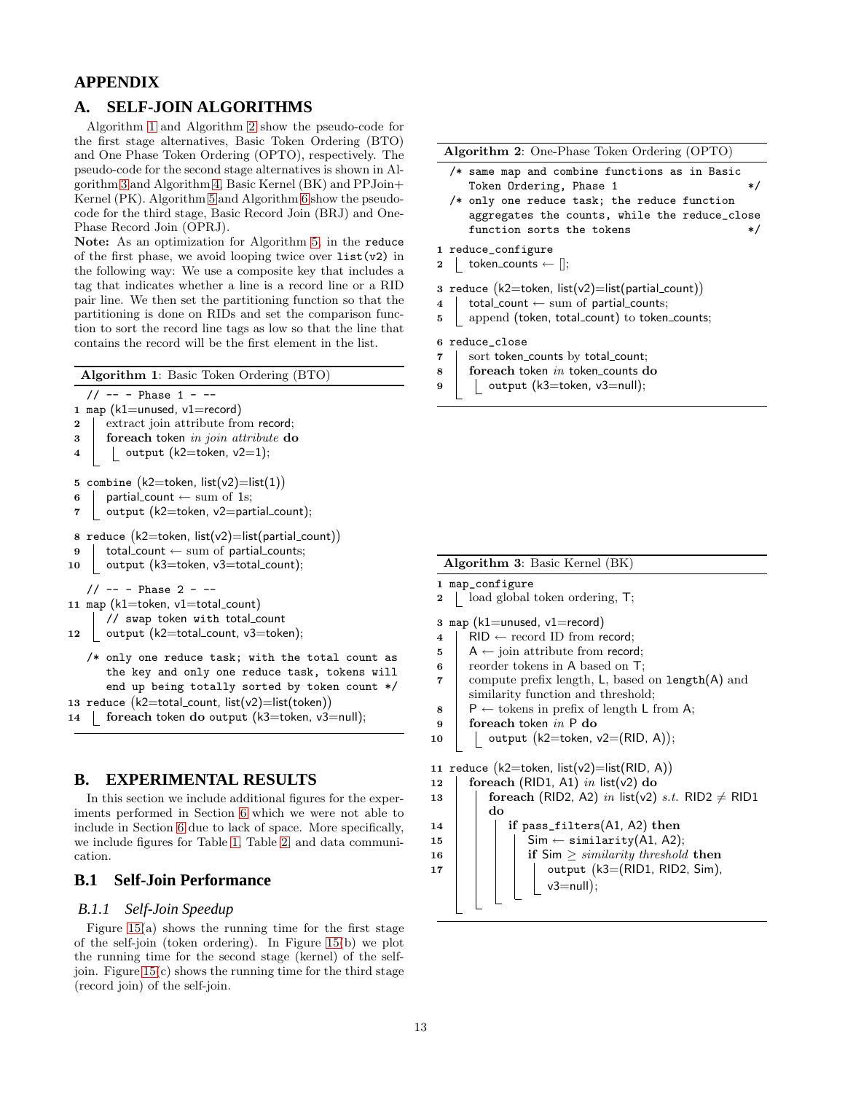# <span id="page-12-0"></span>**APPENDIX**

# **A. SELF-JOIN ALGORITHMS**

Algorithm [1](#page-12-2) and Algorithm [2](#page-12-3) show the pseudo-code for the first stage alternatives, Basic Token Ordering (BTO) and One Phase Token Ordering (OPTO), respectively. The pseudo-code for the second stage alternatives is shown in Algorithm [3](#page-12-3) and Algorithm [4,](#page-12-3) Basic Kernel (BK) and PPJoin+ Kernel (PK). Algorithm [5](#page-12-3) and Algorithm [6](#page-12-3) show the pseudocode for the third stage, Basic Record Join (BRJ) and One-Phase Record Join (OPRJ).

Note: As an optimization for Algorithm [5,](#page-12-3) in the reduce of the first phase, we avoid looping twice over  $list(v2)$  in the following way: We use a composite key that includes a tag that indicates whether a line is a record line or a RID pair line. We then set the partitioning function so that the partitioning is done on RIDs and set the comparison function to sort the record line tags as low so that the line that contains the record will be the first element in the list.

<span id="page-12-2"></span>

|                         | <b>Algorithm 1:</b> Basic Token Ordering (BTO)                                                 |
|-------------------------|------------------------------------------------------------------------------------------------|
|                         | // -- - Phase $1 - -$                                                                          |
|                         | 1 map ( $k1$ =unused, $v1$ =record)                                                            |
| $\bf{2}$                | extract join attribute from record;                                                            |
|                         | 3   foreach token in join attribute do                                                         |
| $\overline{\mathbf{4}}$ | $\vert$ $\vert$ output (k2=token, v2=1);                                                       |
|                         | 5 combine $(k2=$ token, $list(v2)=list(1))$                                                    |
| 6                       | $\vert$ partial_count $\leftarrow$ sum of 1s;                                                  |
|                         | 7   output (k2=token, v2=partial_count);                                                       |
|                         | 8 reduce $(k2=$ token, $list(v2)=list(partial_count))$                                         |
|                         |                                                                                                |
|                         | 9   total_count $\leftarrow$ sum of partial_counts;<br>10   output (k3=token, v3=total_count); |
|                         | $// -- - Phase 2 --$                                                                           |
|                         | 11 map (k1=token, v1=total_count)                                                              |
|                         |                                                                                                |
|                         | // swap token with total_count<br>12 output (k2=total_count, v3=token);                        |
|                         | /* only one reduce task; with the total count as                                               |
|                         | the key and only one reduce task, tokens will                                                  |
|                         | end up being totally sorted by token count */                                                  |
|                         | 13 reduce (k2=total_count, list(v2)=list(token))                                               |
|                         | $\frac{1}{2}$ for cash token do entrut (k2 token $(2$ -null).                                  |

```
\lfloor toreach token do output (k3=token, v3=null);
```
## <span id="page-12-1"></span>**B. EXPERIMENTAL RESULTS**

In this section we include additional figures for the experiments performed in Section [6](#page-6-1) which we were not able to include in Section [6](#page-6-1) due to lack of space. More specifically, we include figures for Table [1,](#page-8-3) Table [2,](#page-9-0) and data communication.

## **B.1 Self-Join Performance**

#### *B.1.1 Self-Join Speedup*

Figure [15\(](#page-14-0)a) shows the running time for the first stage of the self-join (token ordering). In Figure [15\(](#page-14-0)b) we plot the running time for the second stage (kernel) of the selfjoin. Figure  $15(c)$  shows the running time for the third stage (record join) of the self-join.



function sorts the tokens  $*$ /

1 reduce\_configure

- 2 | token\_counts  $\leftarrow$  [];
- $s$  reduce  $(k2=$ token, list $(v2)=$ list $(partial\_count))$
- 4 total count  $\leftarrow$  sum of partial counts;
- 5 append (token, total\_count) to token\_counts;

#### 6 reduce\_close

- 7 Sort token\_counts by total\_count;
- 8 foreach token in token\_counts do
- $9$  | output (k3=token, v3=null);

#### Algorithm 3: Basic Kernel (BK)

1 map\_configure

2 | load global token ordering,  $T$ ;

3 map (k1=unused, v1=record)

- 4 | RID  $\leftarrow$  record ID from record;
- $5 \mid A \leftarrow \text{join attribute from record};$
- 6 reorder tokens in A based on T;
- 7 compute prefix length, L, based on length(A) and similarity function and threshold;
- 8 P  $\leftarrow$  tokens in prefix of length L from A;
- 9 foreach token in P do
- 10 | output  $(k2=$ token, v2= $(RID, A));$

```
11 \text{reduce } (k2 = \text{token}, \text{list}(v2) = \text{list}(\text{RID}, \text{A}))
```
- 12 foreach (RID1, A1) in list( $v^2$ ) do
- 13 **foreach** (RID2, A2) in list(v2) s.t. RID2  $\neq$  RID1 do 14 | | if pass\_filters(A1, A2) then 15 | | | Sim ← similarity(A1, A2);

16  
\n17  
\n
$$
\downarrow \qquad \qquad \qquad \qquad \qquad \qquad \qquad \qquad \text{if } \text{Sim} \geq \text{ similarity threshold then} \\ \text{output } (\text{k3} = (\text{RID1, RID2, Sim}), \\ \text{v3} = \text{null});
$$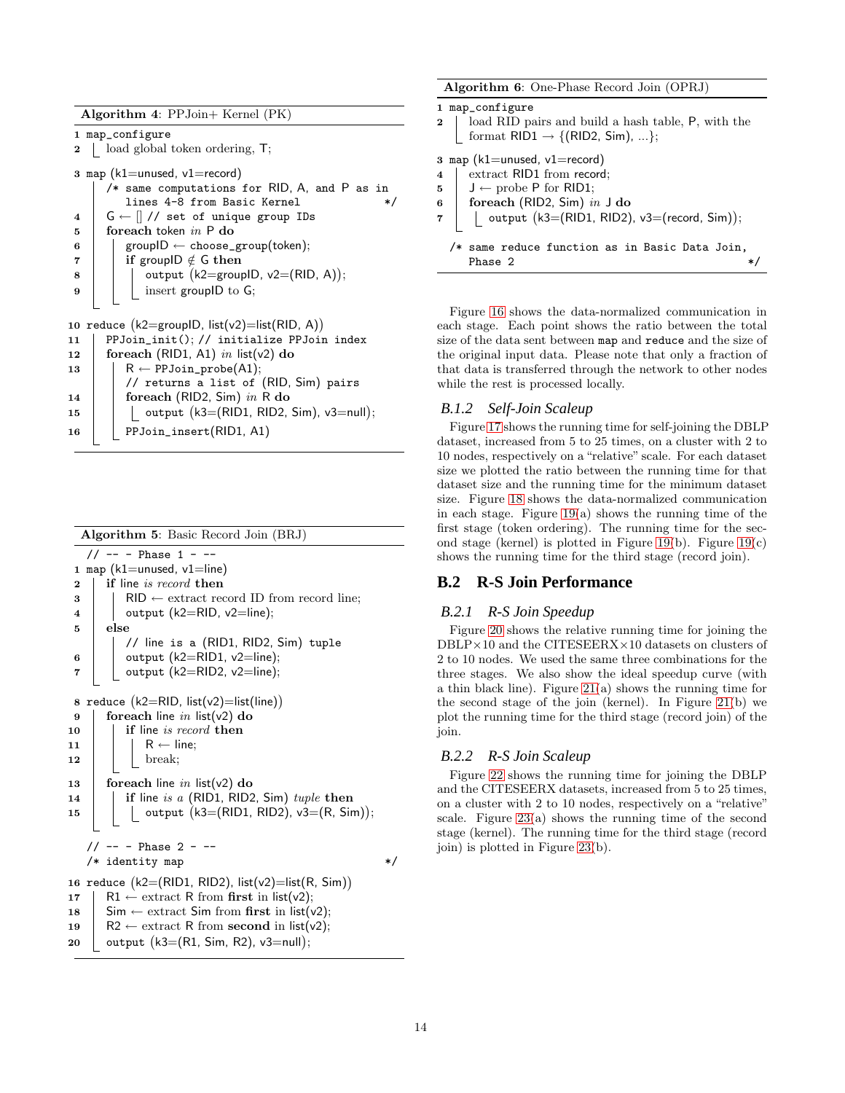Algorithm 4: PPJoin+ Kernel (PK)

1 map\_configure 2 | load global token ordering,  $T$ ; 3 map (k1=unused, v1=record) /\* same computations for RID, A, and P as in lines 4-8 from Basic Kernel  $4 \mid G \leftarrow \mid \mid \textit{// set of unique group IDs}$ 5 | foreach token in P do  $6$  | groupID  $\leftarrow$  choose\_group(token);  $\tau$  | if groupID  $\notin$  G then  $\begin{array}{|c|c|c|}\n8 & | & | & \text{output (k2=groupID, v2=(RID, A))};\n\end{array}$  $9 \mid \cdot \cdot \cdot$  insert groupID to G; 10  $\text{reduce } (k2 = \text{groupID}, \text{list}(v2) = \text{list}(RID, A))$ 11 | PPJoin\_init(); // initialize PPJoin index 12 foreach (RID1, A1) in list(v2) do 13 |  $\vert$  R  $\leftarrow$  PPJoin\_probe(A1); // returns a list of (RID, Sim) pairs 14 | foreach (RID2, Sim) in R do 15 | | output (k3=(RID1, RID2, Sim), v3=null); 16 | PPJoin\_insert(RID1, A1)

| <b>Algorithm 5:</b> Basic Record Join (BRJ)                               |                                                                                                                                                                                                                                                                                                                                                                                                                                                                                                                                                                     |  |  |  |  |
|---------------------------------------------------------------------------|---------------------------------------------------------------------------------------------------------------------------------------------------------------------------------------------------------------------------------------------------------------------------------------------------------------------------------------------------------------------------------------------------------------------------------------------------------------------------------------------------------------------------------------------------------------------|--|--|--|--|
| // -- - Phase 1 -                                                         |                                                                                                                                                                                                                                                                                                                                                                                                                                                                                                                                                                     |  |  |  |  |
| map ( $k1$ =unused, $v1$ =line)<br>1                                      |                                                                                                                                                                                                                                                                                                                                                                                                                                                                                                                                                                     |  |  |  |  |
| <b>if</b> line is record <b>then</b><br>$\mathbf 2$                       |                                                                                                                                                                                                                                                                                                                                                                                                                                                                                                                                                                     |  |  |  |  |
| $\mathsf{RID} \leftarrow$ extract record ID from record line;<br>$\bf{3}$ |                                                                                                                                                                                                                                                                                                                                                                                                                                                                                                                                                                     |  |  |  |  |
| output (k2=RID, v2=line);<br>4                                            |                                                                                                                                                                                                                                                                                                                                                                                                                                                                                                                                                                     |  |  |  |  |
| else<br>5                                                                 |                                                                                                                                                                                                                                                                                                                                                                                                                                                                                                                                                                     |  |  |  |  |
| // line is a (RID1, RID2, Sim) tuple                                      |                                                                                                                                                                                                                                                                                                                                                                                                                                                                                                                                                                     |  |  |  |  |
| 6                                                                         |                                                                                                                                                                                                                                                                                                                                                                                                                                                                                                                                                                     |  |  |  |  |
| 7                                                                         |                                                                                                                                                                                                                                                                                                                                                                                                                                                                                                                                                                     |  |  |  |  |
|                                                                           |                                                                                                                                                                                                                                                                                                                                                                                                                                                                                                                                                                     |  |  |  |  |
|                                                                           |                                                                                                                                                                                                                                                                                                                                                                                                                                                                                                                                                                     |  |  |  |  |
|                                                                           |                                                                                                                                                                                                                                                                                                                                                                                                                                                                                                                                                                     |  |  |  |  |
|                                                                           |                                                                                                                                                                                                                                                                                                                                                                                                                                                                                                                                                                     |  |  |  |  |
|                                                                           |                                                                                                                                                                                                                                                                                                                                                                                                                                                                                                                                                                     |  |  |  |  |
|                                                                           |                                                                                                                                                                                                                                                                                                                                                                                                                                                                                                                                                                     |  |  |  |  |
| 13                                                                        |                                                                                                                                                                                                                                                                                                                                                                                                                                                                                                                                                                     |  |  |  |  |
| 14                                                                        |                                                                                                                                                                                                                                                                                                                                                                                                                                                                                                                                                                     |  |  |  |  |
| 15                                                                        |                                                                                                                                                                                                                                                                                                                                                                                                                                                                                                                                                                     |  |  |  |  |
|                                                                           |                                                                                                                                                                                                                                                                                                                                                                                                                                                                                                                                                                     |  |  |  |  |
|                                                                           |                                                                                                                                                                                                                                                                                                                                                                                                                                                                                                                                                                     |  |  |  |  |
| /* identity map                                                           | */                                                                                                                                                                                                                                                                                                                                                                                                                                                                                                                                                                  |  |  |  |  |
|                                                                           |                                                                                                                                                                                                                                                                                                                                                                                                                                                                                                                                                                     |  |  |  |  |
| 17                                                                        |                                                                                                                                                                                                                                                                                                                                                                                                                                                                                                                                                                     |  |  |  |  |
| 18                                                                        |                                                                                                                                                                                                                                                                                                                                                                                                                                                                                                                                                                     |  |  |  |  |
| $R2 \leftarrow$ extract R from second in list(v2);<br>19                  |                                                                                                                                                                                                                                                                                                                                                                                                                                                                                                                                                                     |  |  |  |  |
| 20                                                                        |                                                                                                                                                                                                                                                                                                                                                                                                                                                                                                                                                                     |  |  |  |  |
| 8<br>9<br>10<br>11<br>12                                                  | output (k2=RID1, v2=line);<br>output (k2=RID2, v2=line);<br>$reduce (k2=RID, list(v2)=list(line))$<br>foreach line in list(v2) do<br>if line is record then<br>$R \leftarrow$ line;<br>break;<br>foreach line in list( $v2$ ) do<br>if line is a (RID1, RID2, Sim) tuple then<br>output (k3=(RID1, RID2), v3=(R, Sim));<br>$// -- - Phase 2 --$<br>16 reduce $(k2=(RID1, RID2)$ , list $(v2)=$ list $(R, Sim))$<br>$R1 \leftarrow$ extract R from first in list(v2);<br>$Sim \leftarrow$ extract Sim from first in list(v2);<br>output (k3=(R1, Sim, R2), v3=null); |  |  |  |  |

Algorithm 6: One-Phase Record Join (OPRJ)

| 1 map_configure<br>2   load RID pairs and build a hash table, P, with the format RID1 $\rightarrow$ {(RID2, Sim), };                                                                                                                                                                    |
|-----------------------------------------------------------------------------------------------------------------------------------------------------------------------------------------------------------------------------------------------------------------------------------------|
| 3 map ( $k1$ =unused, $v1$ =record)<br>extract RID1 from record;<br>$\overline{\mathbf{4}}$<br>$J \leftarrow$ probe P for RID1;<br>5<br>foreach (RID2, Sim) in J do<br>6<br>$\begin{array}{ l} \hline \text{output (k3=(RID1, RID2), v3=(record, Sim))}; \end{array}$<br>$\overline{7}$ |
| same reduce function as in Basic Data Join,<br>Phase 2                                                                                                                                                                                                                                  |

Figure [16](#page-14-1) shows the data-normalized communication in each stage. Each point shows the ratio between the total size of the data sent between map and reduce and the size of the original input data. Please note that only a fraction of that data is transferred through the network to other nodes while the rest is processed locally.

## *B.1.2 Self-Join Scaleup*

Figure [17](#page-14-2) shows the running time for self-joining the DBLP dataset, increased from 5 to 25 times, on a cluster with 2 to 10 nodes, respectively on a "relative" scale. For each dataset size we plotted the ratio between the running time for that dataset size and the running time for the minimum dataset size. Figure [18](#page-14-3) shows the data-normalized communication in each stage. Figure  $19(a)$  shows the running time of the first stage (token ordering). The running time for the second stage (kernel) is plotted in Figure [19\(](#page-14-4)b). Figure [19\(](#page-14-4)c) shows the running time for the third stage (record join).

# **B.2 R-S Join Performance**

## *B.2.1 R-S Join Speedup*

Figure [20](#page-15-0) shows the relative running time for joining the DBLP×10 and the CITESEERX×10 datasets on clusters of 2 to 10 nodes. We used the same three combinations for the three stages. We also show the ideal speedup curve (with a thin black line). Figure [21\(](#page-15-1)a) shows the running time for the second stage of the join (kernel). In Figure [21\(](#page-15-1)b) we plot the running time for the third stage (record join) of the join.

#### *B.2.2 R-S Join Scaleup*

Figure [22](#page-15-2) shows the running time for joining the DBLP and the CITESEERX datasets, increased from 5 to 25 times, on a cluster with 2 to 10 nodes, respectively on a "relative" scale. Figure [23\(](#page-15-3)a) shows the running time of the second stage (kernel). The running time for the third stage (record join) is plotted in Figure [23\(](#page-15-3)b).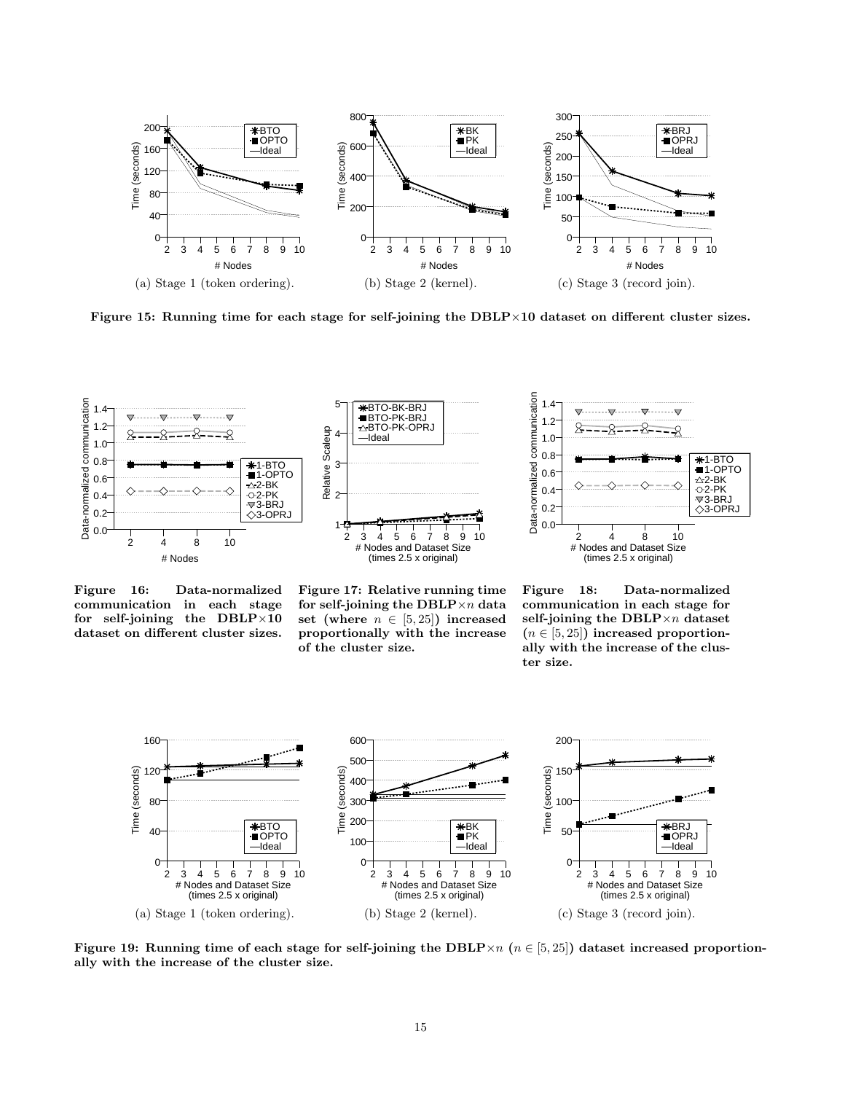

<span id="page-14-0"></span>Figure 15: Running time for each stage for self-joining the DBLP×10 dataset on different cluster sizes.



<span id="page-14-1"></span>Figure 16: Data-normalized communication in each stage for self-joining the  $DBLP \times 10$ dataset on different cluster sizes.

<span id="page-14-2"></span>Figure 17: Relative running time for self-joining the DBLP $\times n$  data set (where  $n \in [5, 25]$ ) increased proportionally with the increase of the cluster size.

<span id="page-14-3"></span>Figure 18: Data-normalized communication in each stage for self-joining the  $DBLP \times n$  dataset  $(n \in [5, 25])$  increased proportionally with the increase of the cluster size.



<span id="page-14-4"></span>Figure 19: Running time of each stage for self-joining the  $DBLP \times n$  ( $n \in [5, 25]$ ) dataset increased proportionally with the increase of the cluster size.